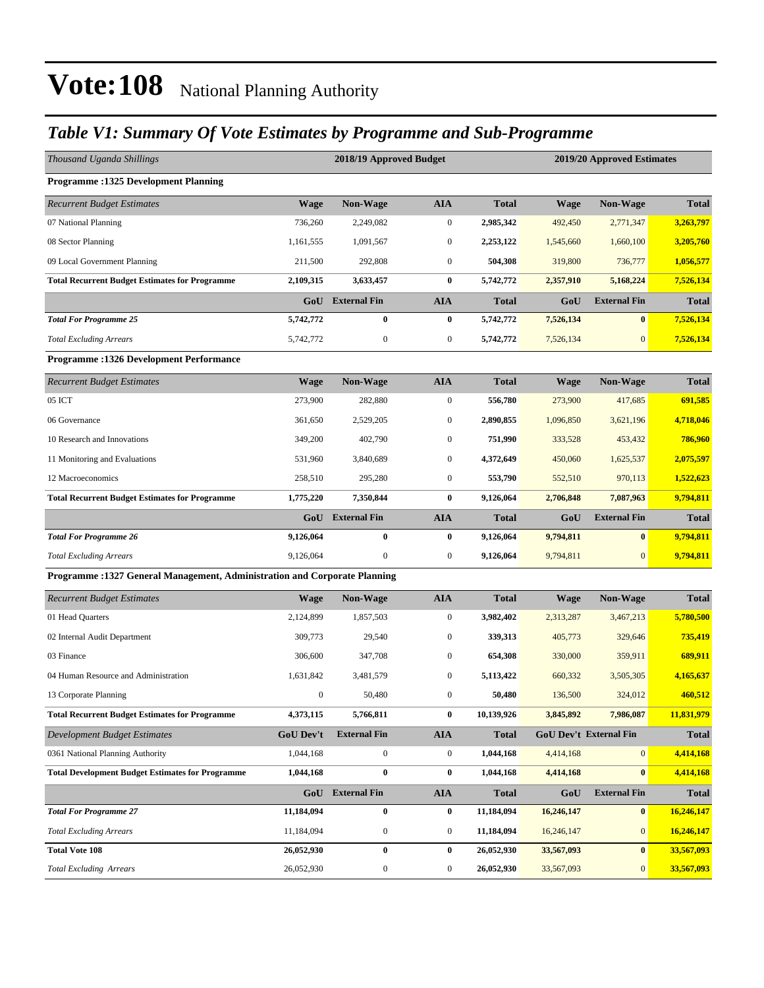### *Table V1: Summary Of Vote Estimates by Programme and Sub-Programme*

| Thousand Uganda Shillings                                                  |                  | 2018/19 Approved Budget |                  |              | 2019/20 Approved Estimates |                        |              |
|----------------------------------------------------------------------------|------------------|-------------------------|------------------|--------------|----------------------------|------------------------|--------------|
| <b>Programme:1325 Development Planning</b>                                 |                  |                         |                  |              |                            |                        |              |
| <b>Recurrent Budget Estimates</b>                                          | <b>Wage</b>      | <b>Non-Wage</b>         | <b>AIA</b>       | <b>Total</b> | <b>Wage</b>                | Non-Wage               | <b>Total</b> |
| 07 National Planning                                                       | 736,260          | 2,249,082               | $\boldsymbol{0}$ | 2,985,342    | 492,450                    | 2,771,347              | 3,263,797    |
| 08 Sector Planning                                                         | 1,161,555        | 1,091,567               | $\mathbf{0}$     | 2,253,122    | 1,545,660                  | 1,660,100              | 3,205,760    |
| 09 Local Government Planning                                               | 211,500          | 292,808                 | $\boldsymbol{0}$ | 504,308      | 319,800                    | 736,777                | 1,056,577    |
| <b>Total Recurrent Budget Estimates for Programme</b>                      | 2,109,315        | 3,633,457               | $\bf{0}$         | 5,742,772    | 2,357,910                  | 5,168,224              | 7,526,134    |
|                                                                            | GoU              | <b>External Fin</b>     | <b>AIA</b>       | <b>Total</b> | GoU                        | <b>External Fin</b>    | <b>Total</b> |
| <b>Total For Programme 25</b>                                              | 5,742,772        | $\bf{0}$                | $\bf{0}$         | 5,742,772    | 7,526,134                  | $\bf{0}$               | 7,526,134    |
| <b>Total Excluding Arrears</b>                                             | 5,742,772        | $\boldsymbol{0}$        | $\mathbf{0}$     | 5,742,772    | 7,526,134                  | $\mathbf{0}$           | 7,526,134    |
| <b>Programme: 1326 Development Performance</b>                             |                  |                         |                  |              |                            |                        |              |
| <b>Recurrent Budget Estimates</b>                                          | <b>Wage</b>      | Non-Wage                | <b>AIA</b>       | <b>Total</b> | <b>Wage</b>                | Non-Wage               | <b>Total</b> |
| 05 ICT                                                                     | 273,900          | 282,880                 | $\boldsymbol{0}$ | 556,780      | 273,900                    | 417,685                | 691,585      |
| 06 Governance                                                              | 361,650          | 2,529,205               | $\mathbf{0}$     | 2,890,855    | 1,096,850                  | 3,621,196              | 4,718,046    |
| 10 Research and Innovations                                                | 349,200          | 402,790                 | $\boldsymbol{0}$ | 751,990      | 333,528                    | 453,432                | 786,960      |
| 11 Monitoring and Evaluations                                              | 531.960          | 3,840,689               | $\mathbf{0}$     | 4,372,649    | 450,060                    | 1,625,537              | 2,075,597    |
| 12 Macroeconomics                                                          | 258,510          | 295,280                 | $\boldsymbol{0}$ | 553,790      | 552,510                    | 970,113                | 1,522,623    |
| <b>Total Recurrent Budget Estimates for Programme</b>                      | 1,775,220        | 7,350,844               | $\bf{0}$         | 9,126,064    | 2,706,848                  | 7,087,963              | 9,794,811    |
|                                                                            | GoU              | <b>External Fin</b>     | <b>AIA</b>       | <b>Total</b> | GoU                        | <b>External Fin</b>    | <b>Total</b> |
| <b>Total For Programme 26</b>                                              | 9,126,064        | 0                       | $\bf{0}$         | 9,126,064    | 9,794,811                  | $\bf{0}$               | 9,794,811    |
| <b>Total Excluding Arrears</b>                                             | 9,126,064        | $\boldsymbol{0}$        | $\mathbf{0}$     | 9,126,064    | 9,794,811                  | $\overline{0}$         | 9,794,811    |
| Programme : 1327 General Management, Administration and Corporate Planning |                  |                         |                  |              |                            |                        |              |
| <b>Recurrent Budget Estimates</b>                                          | Wage             | <b>Non-Wage</b>         | <b>AIA</b>       | <b>Total</b> | Wage                       | <b>Non-Wage</b>        | <b>Total</b> |
| 01 Head Quarters                                                           | 2,124,899        | 1,857,503               | $\boldsymbol{0}$ | 3,982,402    | 2,313,287                  | 3,467,213              | 5,780,500    |
| 02 Internal Audit Department                                               | 309,773          | 29,540                  | $\boldsymbol{0}$ | 339,313      | 405,773                    | 329,646                | 735,419      |
| 03 Finance                                                                 | 306,600          | 347,708                 | $\boldsymbol{0}$ | 654,308      | 330,000                    | 359,911                | 689,911      |
| 04 Human Resource and Administration                                       | 1.631.842        | 3,481,579               | $\mathbf{0}$     | 5,113,422    | 660,332                    | 3,505,305              | 4,165,637    |
| 13 Corporate Planning                                                      | $\mathbf{0}$     | 50,480                  | $\boldsymbol{0}$ | 50,480       | 136,500                    | 324,012                | 460,512      |
| <b>Total Recurrent Budget Estimates for Programme</b>                      | 4,373,115        | 5,766,811               | $\bf{0}$         | 10,139,926   | 3,845,892                  | 7,986,087              | 11,831,979   |
| <b>Development Budget Estimates</b>                                        | <b>GoU Dev't</b> | <b>External Fin</b>     | <b>AIA</b>       | <b>Total</b> |                            | GoU Dev't External Fin | <b>Total</b> |
| 0361 National Planning Authority                                           | 1,044,168        | $\overline{0}$          | $\boldsymbol{0}$ | 1,044,168    | 4,414,168                  | 0                      | 4,414,168    |
| <b>Total Development Budget Estimates for Programme</b>                    | 1,044,168        | 0                       | $\bf{0}$         | 1,044,168    | 4,414,168                  | $\mathbf{0}$           | 4,414,168    |
|                                                                            |                  | GoU External Fin        | <b>AIA</b>       | <b>Total</b> | GoU                        | <b>External Fin</b>    | <b>Total</b> |
| <b>Total For Programme 27</b>                                              | 11,184,094       | $\bf{0}$                | $\bf{0}$         | 11,184,094   | 16,246,147                 | $\mathbf{0}$           | 16,246,147   |
| <b>Total Excluding Arrears</b>                                             | 11,184,094       | $\boldsymbol{0}$        | $\boldsymbol{0}$ | 11,184,094   | 16,246,147                 | $\mathbf{0}$           | 16,246,147   |
| <b>Total Vote 108</b>                                                      | 26,052,930       | $\pmb{0}$               | $\bf{0}$         | 26,052,930   | 33,567,093                 | $\mathbf{0}$           | 33,567,093   |
| <b>Total Excluding Arrears</b>                                             | 26,052,930       | $\boldsymbol{0}$        | $\boldsymbol{0}$ | 26,052,930   | 33,567,093                 | $\mathbf{0}$           | 33,567,093   |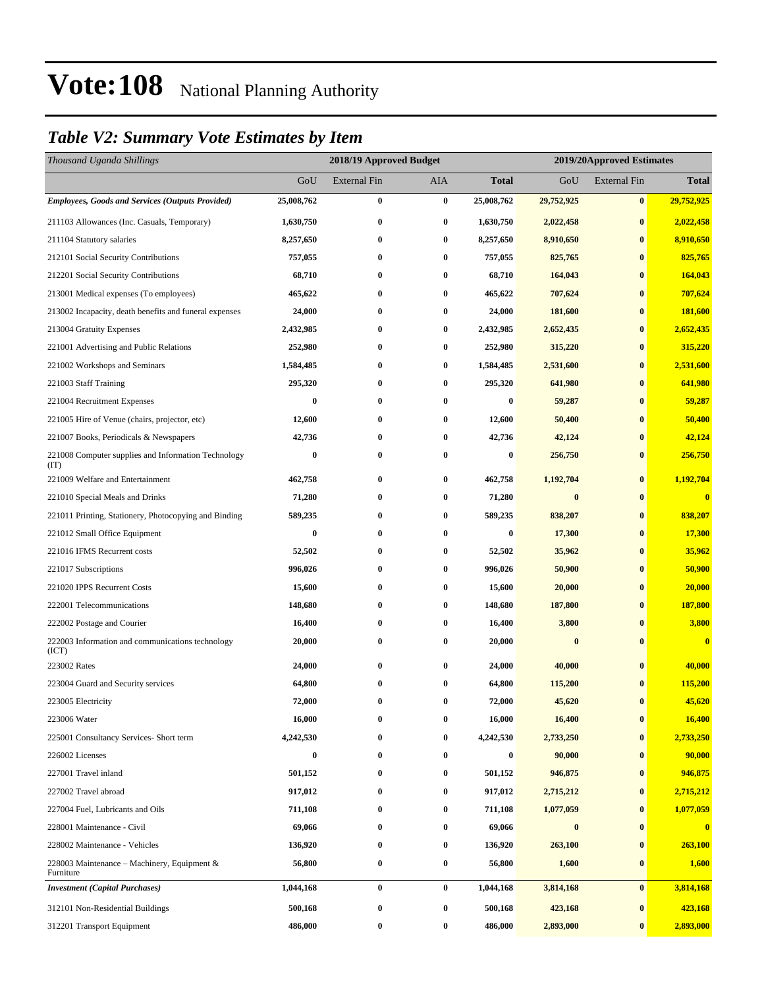### *Table V2: Summary Vote Estimates by Item*

| Thousand Uganda Shillings                                   |            | 2018/19 Approved Budget |            |              | 2019/20Approved Estimates |                     |                         |
|-------------------------------------------------------------|------------|-------------------------|------------|--------------|---------------------------|---------------------|-------------------------|
|                                                             | GoU        | <b>External Fin</b>     | <b>AIA</b> | <b>Total</b> | GoU                       | <b>External Fin</b> | <b>Total</b>            |
| <b>Employees, Goods and Services (Outputs Provided)</b>     | 25,008,762 | $\bf{0}$                | $\bf{0}$   | 25,008,762   | 29,752,925                | $\bf{0}$            | 29,752,925              |
| 211103 Allowances (Inc. Casuals, Temporary)                 | 1,630,750  | 0                       | $\bf{0}$   | 1,630,750    | 2,022,458                 | $\bf{0}$            | 2,022,458               |
| 211104 Statutory salaries                                   | 8,257,650  | $\bf{0}$                | $\bf{0}$   | 8,257,650    | 8,910,650                 | $\bf{0}$            | 8,910,650               |
| 212101 Social Security Contributions                        | 757,055    | 0                       | $\bf{0}$   | 757,055      | 825,765                   | $\bf{0}$            | 825,765                 |
| 212201 Social Security Contributions                        | 68,710     | $\bf{0}$                | $\bf{0}$   | 68,710       | 164,043                   | $\bf{0}$            | 164,043                 |
| 213001 Medical expenses (To employees)                      | 465,622    | $\bf{0}$                | $\bf{0}$   | 465,622      | 707,624                   | $\bf{0}$            | 707,624                 |
| 213002 Incapacity, death benefits and funeral expenses      | 24,000     | 0                       | $\bf{0}$   | 24,000       | 181,600                   | $\bf{0}$            | 181,600                 |
| 213004 Gratuity Expenses                                    | 2,432,985  | $\boldsymbol{0}$        | $\bf{0}$   | 2,432,985    | 2,652,435                 | $\bf{0}$            | 2,652,435               |
| 221001 Advertising and Public Relations                     | 252,980    | 0                       | $\bf{0}$   | 252,980      | 315,220                   | $\bf{0}$            | 315,220                 |
| 221002 Workshops and Seminars                               | 1,584,485  | $\boldsymbol{0}$        | $\bf{0}$   | 1,584,485    | 2,531,600                 | $\bf{0}$            | 2,531,600               |
| 221003 Staff Training                                       | 295,320    | $\bf{0}$                | $\bf{0}$   | 295,320      | 641,980                   | $\bf{0}$            | 641,980                 |
| 221004 Recruitment Expenses                                 | 0          | 0                       | $\bf{0}$   | 0            | 59,287                    | $\bf{0}$            | 59,287                  |
| 221005 Hire of Venue (chairs, projector, etc)               | 12,600     | 0                       | $\bf{0}$   | 12,600       | 50,400                    | $\bf{0}$            | 50,400                  |
| 221007 Books, Periodicals & Newspapers                      | 42,736     | 0                       | $\bf{0}$   | 42,736       | 42,124                    | $\bf{0}$            | 42,124                  |
| 221008 Computer supplies and Information Technology<br>(TT) | $\bf{0}$   | $\bf{0}$                | $\bf{0}$   | 0            | 256,750                   | $\bf{0}$            | 256,750                 |
| 221009 Welfare and Entertainment                            | 462,758    | $\bf{0}$                | $\bf{0}$   | 462,758      | 1,192,704                 | $\bf{0}$            | 1,192,704               |
| 221010 Special Meals and Drinks                             | 71,280     | $\bf{0}$                | $\bf{0}$   | 71,280       | $\bf{0}$                  | $\bf{0}$            | $\overline{\mathbf{0}}$ |
| 221011 Printing, Stationery, Photocopying and Binding       | 589,235    | $\bf{0}$                | $\bf{0}$   | 589,235      | 838,207                   | $\bf{0}$            | 838,207                 |
| 221012 Small Office Equipment                               | $\bf{0}$   | $\bf{0}$                | $\bf{0}$   | $\bf{0}$     | 17,300                    | $\bf{0}$            | 17,300                  |
| 221016 IFMS Recurrent costs                                 | 52,502     | 0                       | $\bf{0}$   | 52,502       | 35,962                    | $\bf{0}$            | 35,962                  |
| 221017 Subscriptions                                        | 996,026    | 0                       | $\bf{0}$   | 996,026      | 50,900                    | $\bf{0}$            | 50,900                  |
| 221020 IPPS Recurrent Costs                                 | 15,600     | $\bf{0}$                | $\bf{0}$   | 15,600       | 20,000                    | $\bf{0}$            | 20,000                  |
| 222001 Telecommunications                                   | 148,680    | $\bf{0}$                | $\bf{0}$   | 148,680      | 187,800                   | $\bf{0}$            | 187,800                 |
| 222002 Postage and Courier                                  | 16,400     | $\bf{0}$                | $\bf{0}$   | 16,400       | 3,800                     | $\bf{0}$            | 3,800                   |
| 222003 Information and communications technology<br>(ICT)   | 20,000     | 0                       | $\bf{0}$   | 20,000       | $\bf{0}$                  | $\bf{0}$            | $\bf{0}$                |
| 223002 Rates                                                | 24,000     | $\bf{0}$                | $\bf{0}$   | 24,000       | 40,000                    | $\bf{0}$            | 40,000                  |
| 223004 Guard and Security services                          | 64,800     | 0                       | $\bf{0}$   | 64,800       | 115,200                   | $\bf{0}$            | 115,200                 |
| 223005 Electricity                                          | 72,000     | $\bf{0}$                | $\bf{0}$   | 72,000       | 45,620                    | $\bf{0}$            | 45,620                  |
| 223006 Water                                                | 16,000     | 0                       | $\bf{0}$   | 16,000       | 16,400                    | $\bf{0}$            | 16,400                  |
| 225001 Consultancy Services- Short term                     | 4,242,530  | 0                       | $\bf{0}$   | 4,242,530    | 2,733,250                 | $\bf{0}$            | 2,733,250               |
| 226002 Licenses                                             | $\bf{0}$   | 0                       | $\bf{0}$   | $\bf{0}$     | 90,000                    | $\bf{0}$            | 90,000                  |
| 227001 Travel inland                                        | 501,152    | 0                       | $\bf{0}$   | 501,152      | 946,875                   | $\bf{0}$            | 946,875                 |
| 227002 Travel abroad                                        | 917,012    | $\bf{0}$                | $\bf{0}$   | 917,012      | 2,715,212                 | $\bf{0}$            | 2,715,212               |
| 227004 Fuel, Lubricants and Oils                            | 711,108    | 0                       | $\bf{0}$   | 711,108      | 1,077,059                 | $\bf{0}$            | 1,077,059               |
| 228001 Maintenance - Civil                                  | 69,066     | 0                       | $\bf{0}$   | 69,066       | $\bf{0}$                  | $\bf{0}$            | $\bf{0}$                |
| 228002 Maintenance - Vehicles                               | 136,920    | 0                       | $\bf{0}$   | 136,920      | 263,100                   | $\bf{0}$            | 263,100                 |
| 228003 Maintenance – Machinery, Equipment $\&$<br>Furniture | 56,800     | $\bf{0}$                | $\bf{0}$   | 56,800       | 1,600                     | $\bf{0}$            | 1,600                   |
| <b>Investment</b> (Capital Purchases)                       | 1,044,168  | $\bf{0}$                | $\bf{0}$   | 1,044,168    | 3,814,168                 | $\bf{0}$            | 3,814,168               |
| 312101 Non-Residential Buildings                            | 500,168    | 0                       | $\bf{0}$   | 500,168      | 423,168                   | $\bf{0}$            | 423,168                 |
| 312201 Transport Equipment                                  | 486,000    | $\bf{0}$                | $\bf{0}$   | 486,000      | 2,893,000                 | $\bf{0}$            | 2,893,000               |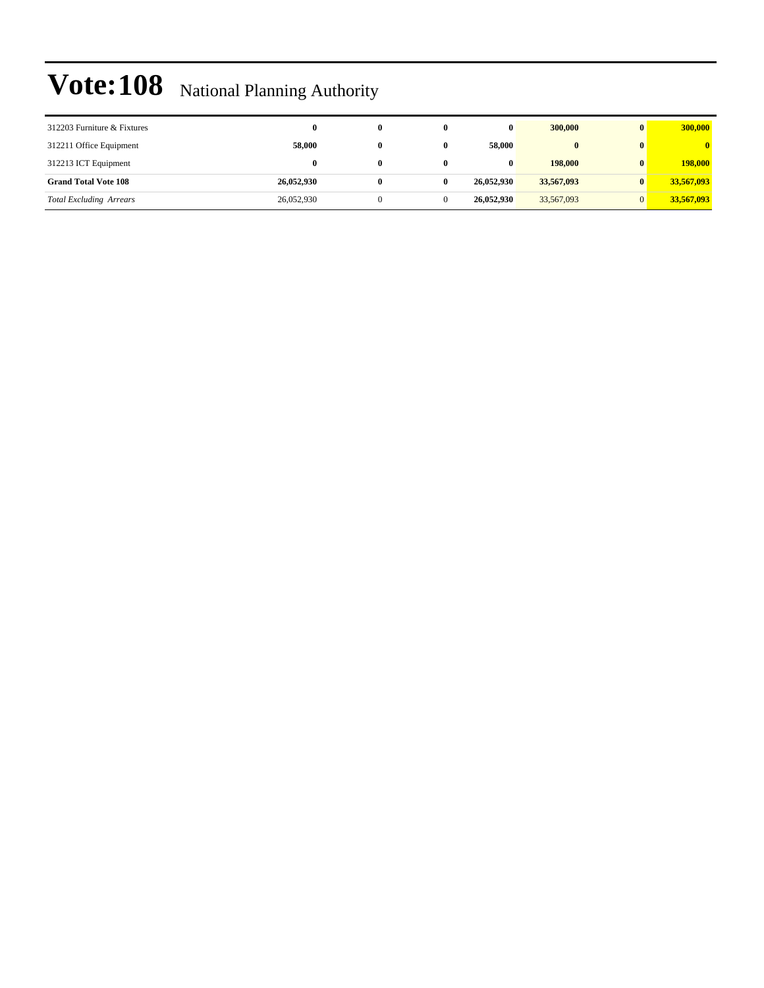| 312203 Furniture & Fixtures    | 0          |  | $\bf{0}$   | 300,000      | 300,000                 |
|--------------------------------|------------|--|------------|--------------|-------------------------|
| 312211 Office Equipment        | 58,000     |  | 58,000     | $\mathbf{0}$ | $\overline{\mathbf{0}}$ |
| 312213 ICT Equipment           | 0          |  | $\bf{0}$   | 198,000      | 198,000                 |
| <b>Grand Total Vote 108</b>    | 26,052,930 |  | 26.052.930 | 33,567,093   | 33,567,093              |
| <b>Total Excluding Arrears</b> | 26,052,930 |  | 26,052,930 | 33,567,093   | 33,567,093              |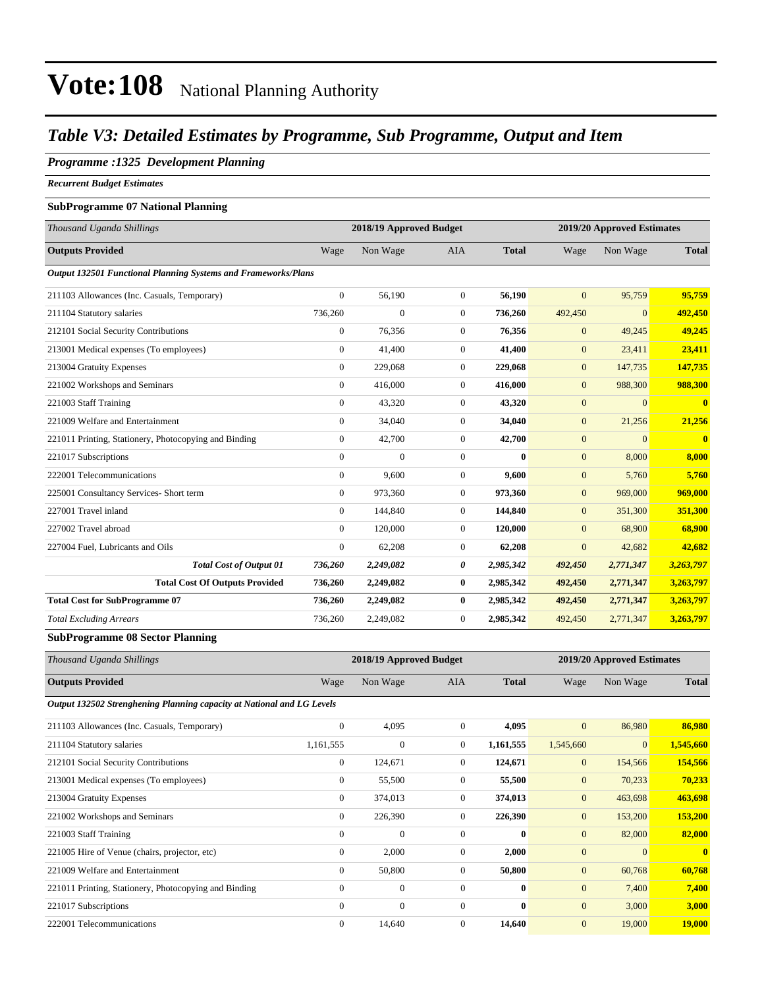#### *Table V3: Detailed Estimates by Programme, Sub Programme, Output and Item*

#### *Programme :1325 Development Planning*

*Recurrent Budget Estimates*

#### **SubProgramme 07 National Planning**

| Thousand Uganda Shillings                                      |                  | 2018/19 Approved Budget |                  |              |                | 2019/20 Approved Estimates |              |
|----------------------------------------------------------------|------------------|-------------------------|------------------|--------------|----------------|----------------------------|--------------|
| <b>Outputs Provided</b>                                        | Wage             | Non Wage                | <b>AIA</b>       | <b>Total</b> | Wage           | Non Wage                   | <b>Total</b> |
| Output 132501 Functional Planning Systems and Frameworks/Plans |                  |                         |                  |              |                |                            |              |
| 211103 Allowances (Inc. Casuals, Temporary)                    | $\mathbf{0}$     | 56,190                  | $\overline{0}$   | 56,190       | $\overline{0}$ | 95,759                     | 95,759       |
| 211104 Statutory salaries                                      | 736,260          | $\boldsymbol{0}$        | $\boldsymbol{0}$ | 736,260      | 492,450        | $\mathbf{0}$               | 492,450      |
| 212101 Social Security Contributions                           | $\mathbf{0}$     | 76,356                  | $\mathbf{0}$     | 76,356       | $\mathbf{0}$   | 49,245                     | 49,245       |
| 213001 Medical expenses (To employees)                         | $\boldsymbol{0}$ | 41,400                  | 0                | 41,400       | $\mathbf{0}$   | 23,411                     | 23,411       |
| 213004 Gratuity Expenses                                       | $\mathbf{0}$     | 229,068                 | $\overline{0}$   | 229,068      | $\mathbf{0}$   | 147,735                    | 147,735      |
| 221002 Workshops and Seminars                                  | $\mathbf{0}$     | 416,000                 | $\mathbf{0}$     | 416,000      | $\overline{0}$ | 988,300                    | 988,300      |
| 221003 Staff Training                                          | $\mathbf{0}$     | 43,320                  | $\overline{0}$   | 43,320       | $\mathbf{0}$   | $\overline{0}$             | $\mathbf{0}$ |
| 221009 Welfare and Entertainment                               | $\mathbf{0}$     | 34,040                  | $\overline{0}$   | 34,040       | $\mathbf{0}$   | 21,256                     | 21,256       |
| 221011 Printing, Stationery, Photocopying and Binding          | $\mathbf{0}$     | 42,700                  | $\mathbf{0}$     | 42,700       | $\mathbf{0}$   | $\mathbf{0}$               | $\mathbf{0}$ |
| 221017 Subscriptions                                           | $\Omega$         | $\overline{0}$          | $\mathbf{0}$     | $\mathbf{0}$ | $\overline{0}$ | 8,000                      | 8,000        |
| 222001 Telecommunications                                      | $\mathbf{0}$     | 9,600                   | $\boldsymbol{0}$ | 9,600        | $\mathbf{0}$   | 5,760                      | 5,760        |
| 225001 Consultancy Services- Short term                        | $\overline{0}$   | 973,360                 | $\overline{0}$   | 973,360      | $\mathbf{0}$   | 969,000                    | 969,000      |
| 227001 Travel inland                                           | $\overline{0}$   | 144,840                 | $\overline{0}$   | 144,840      | $\mathbf{0}$   | 351,300                    | 351,300      |
| 227002 Travel abroad                                           | $\mathbf{0}$     | 120,000                 | $\mathbf{0}$     | 120,000      | $\mathbf{0}$   | 68,900                     | 68,900       |
| 227004 Fuel, Lubricants and Oils                               | $\mathbf{0}$     | 62,208                  | $\overline{0}$   | 62,208       | $\mathbf{0}$   | 42,682                     | 42,682       |
| <b>Total Cost of Output 01</b>                                 | 736,260          | 2,249,082               | 0                | 2,985,342    | 492,450        | 2,771,347                  | 3,263,797    |
| <b>Total Cost Of Outputs Provided</b>                          | 736,260          | 2,249,082               | $\bf{0}$         | 2,985,342    | 492,450        | 2,771,347                  | 3,263,797    |
| <b>Total Cost for SubProgramme 07</b>                          | 736,260          | 2,249,082               | $\bf{0}$         | 2,985,342    | 492,450        | 2,771,347                  | 3,263,797    |
| <b>Total Excluding Arrears</b>                                 | 736,260          | 2,249,082               | $\mathbf{0}$     | 2,985,342    | 492,450        | 2,771,347                  | 3,263,797    |

#### **SubProgramme 08 Sector Planning**

| Thousand Uganda Shillings                                              |                | 2018/19 Approved Budget |                |              |                | 2019/20 Approved Estimates |               |
|------------------------------------------------------------------------|----------------|-------------------------|----------------|--------------|----------------|----------------------------|---------------|
| <b>Outputs Provided</b>                                                | Wage           | Non Wage                | AIA            | <b>Total</b> | Wage           | Non Wage                   | <b>Total</b>  |
| Output 132502 Strenghening Planning capacity at National and LG Levels |                |                         |                |              |                |                            |               |
| 211103 Allowances (Inc. Casuals, Temporary)                            | $\mathbf{0}$   | 4,095                   | $\theta$       | 4,095        | $\overline{0}$ | 86,980                     | 86,980        |
| 211104 Statutory salaries                                              | 1,161,555      | $\bf{0}$                | $\overline{0}$ | 1,161,555    | 1,545,660      | 0                          | 1,545,660     |
| 212101 Social Security Contributions                                   | $\overline{0}$ | 124,671                 | $\Omega$       | 124,671      | $\mathbf{0}$   | 154,566                    | 154,566       |
| 213001 Medical expenses (To employees)                                 | $\overline{0}$ | 55,500                  | $\theta$       | 55,500       | $\mathbf{0}$   | 70,233                     | 70,233        |
| 213004 Gratuity Expenses                                               | $\overline{0}$ | 374,013                 | $\theta$       | 374,013      | $\mathbf{0}$   | 463,698                    | 463,698       |
| 221002 Workshops and Seminars                                          | $\overline{0}$ | 226,390                 | $\theta$       | 226,390      | $\mathbf{0}$   | 153,200                    | 153,200       |
| 221003 Staff Training                                                  | $\mathbf{0}$   | $\mathbf{0}$            | $\Omega$       | $\bf{0}$     | $\overline{0}$ | 82,000                     | 82,000        |
| 221005 Hire of Venue (chairs, projector, etc)                          | $\mathbf{0}$   | 2,000                   | $\overline{0}$ | 2,000        | $\mathbf{0}$   | $\overline{0}$             | $\mathbf{0}$  |
| 221009 Welfare and Entertainment                                       | $\Omega$       | 50,800                  | $\overline{0}$ | 50,800       | $\overline{0}$ | 60,768                     | 60,768        |
| 221011 Printing, Stationery, Photocopying and Binding                  | $\mathbf{0}$   | $\boldsymbol{0}$        | $\overline{0}$ | $\bf{0}$     | $\overline{0}$ | 7,400                      | 7,400         |
| 221017 Subscriptions                                                   | $\Omega$       | $\mathbf{0}$            | $\overline{0}$ | $\bf{0}$     | $\mathbf{0}$   | 3,000                      | 3,000         |
| 222001 Telecommunications                                              | $\mathbf{0}$   | 14,640                  | $\overline{0}$ | 14,640       | $\mathbf{0}$   | 19,000                     | <b>19,000</b> |
|                                                                        |                |                         |                |              |                |                            |               |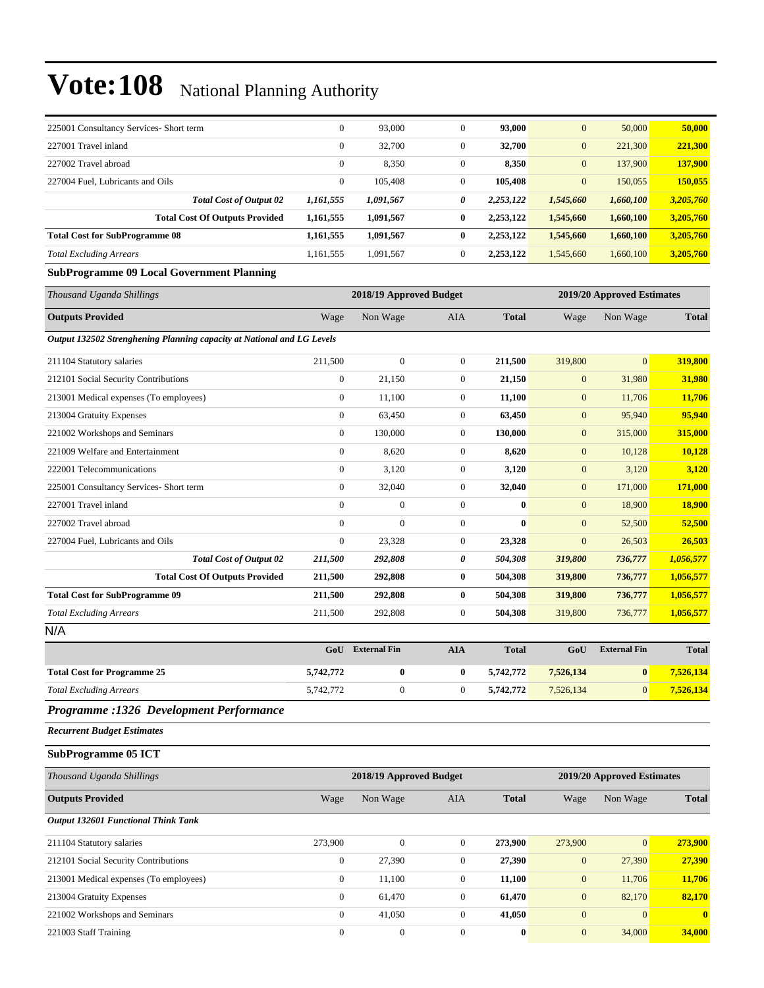| 225001 Consultancy Services- Short term                                | $\overline{0}$   | 93,000                  | $\theta$         | 93,000       | $\mathbf{0}$     | 50,000                     | 50,000       |
|------------------------------------------------------------------------|------------------|-------------------------|------------------|--------------|------------------|----------------------------|--------------|
| 227001 Travel inland                                                   | $\boldsymbol{0}$ | 32,700                  | $\mathbf{0}$     | 32,700       | $\mathbf{0}$     | 221,300                    | 221,300      |
| 227002 Travel abroad                                                   | $\boldsymbol{0}$ | 8,350                   | $\mathbf{0}$     | 8,350        | $\mathbf{0}$     | 137,900                    | 137,900      |
| 227004 Fuel, Lubricants and Oils                                       | $\boldsymbol{0}$ | 105,408                 | $\boldsymbol{0}$ | 105,408      | $\boldsymbol{0}$ | 150,055                    | 150,055      |
| <b>Total Cost of Output 02</b>                                         | 1,161,555        | 1,091,567               | 0                | 2,253,122    | 1,545,660        | 1,660,100                  | 3,205,760    |
| <b>Total Cost Of Outputs Provided</b>                                  | 1,161,555        | 1,091,567               | $\bf{0}$         | 2,253,122    | 1,545,660        | 1,660,100                  | 3,205,760    |
| <b>Total Cost for SubProgramme 08</b>                                  | 1,161,555        | 1,091,567               | $\bf{0}$         | 2,253,122    | 1,545,660        | 1,660,100                  | 3,205,760    |
| <b>Total Excluding Arrears</b>                                         | 1,161,555        | 1,091,567               | $\boldsymbol{0}$ | 2,253,122    | 1,545,660        | 1,660,100                  | 3,205,760    |
| <b>SubProgramme 09 Local Government Planning</b>                       |                  |                         |                  |              |                  |                            |              |
| Thousand Uganda Shillings                                              |                  | 2018/19 Approved Budget |                  |              |                  | 2019/20 Approved Estimates |              |
| <b>Outputs Provided</b>                                                | Wage             | Non Wage                | AIA              | <b>Total</b> | Wage             | Non Wage                   | <b>Total</b> |
| Output 132502 Strenghening Planning capacity at National and LG Levels |                  |                         |                  |              |                  |                            |              |
| 211104 Statutory salaries                                              | 211,500          | $\boldsymbol{0}$        | $\mathbf{0}$     | 211,500      | 319,800          | $\overline{0}$             | 319,800      |
| 212101 Social Security Contributions                                   | $\boldsymbol{0}$ | 21,150                  | $\mathbf{0}$     | 21,150       | $\boldsymbol{0}$ | 31,980                     | 31,980       |
| 213001 Medical expenses (To employees)                                 | $\boldsymbol{0}$ | 11,100                  | $\mathbf{0}$     | 11,100       | $\mathbf{0}$     | 11,706                     | 11,706       |
| 213004 Gratuity Expenses                                               | $\boldsymbol{0}$ | 63,450                  | $\mathbf{0}$     | 63,450       | $\boldsymbol{0}$ | 95,940                     | 95,940       |
| 221002 Workshops and Seminars                                          | $\boldsymbol{0}$ | 130,000                 | $\mathbf{0}$     | 130,000      | $\boldsymbol{0}$ | 315,000                    | 315,000      |
| 221009 Welfare and Entertainment                                       | $\boldsymbol{0}$ | 8,620                   | $\mathbf{0}$     | 8,620        | $\boldsymbol{0}$ | 10,128                     | 10,128       |
| 222001 Telecommunications                                              | $\boldsymbol{0}$ | 3,120                   | $\mathbf{0}$     | 3,120        | $\boldsymbol{0}$ | 3,120                      | 3,120        |
| 225001 Consultancy Services- Short term                                | $\boldsymbol{0}$ | 32,040                  | $\mathbf{0}$     | 32,040       | $\boldsymbol{0}$ | 171,000                    | 171,000      |
| 227001 Travel inland                                                   | $\overline{0}$   | $\mathbf{0}$            | $\mathbf{0}$     | $\bf{0}$     | $\boldsymbol{0}$ | 18,900                     | 18,900       |
| 227002 Travel abroad                                                   | $\boldsymbol{0}$ | $\mathbf{0}$            | $\mathbf{0}$     | $\bf{0}$     | $\boldsymbol{0}$ | 52,500                     | 52,500       |
| 227004 Fuel, Lubricants and Oils                                       | $\boldsymbol{0}$ | 23,328                  | $\mathbf{0}$     | 23,328       | $\mathbf{0}$     | 26,503                     | 26,503       |
| <b>Total Cost of Output 02</b>                                         | 211,500          | 292,808                 | 0                | 504,308      | 319,800          | 736,777                    | 1,056,577    |
| <b>Total Cost Of Outputs Provided</b>                                  | 211,500          | 292,808                 | $\bf{0}$         | 504,308      | 319,800          | 736,777                    | 1,056,577    |
| <b>Total Cost for SubProgramme 09</b>                                  | 211,500          | 292,808                 | $\bf{0}$         | 504,308      | 319,800          | 736,777                    | 1,056,577    |
| <b>Total Excluding Arrears</b>                                         | 211,500          | 292,808                 | $\mathbf{0}$     | 504,308      | 319,800          | 736,777                    | 1,056,577    |
| N/A                                                                    |                  |                         |                  |              |                  |                            |              |
|                                                                        |                  | GoU External Fin        | <b>AIA</b>       | <b>Total</b> | GoU              | <b>External Fin</b>        | <b>Total</b> |
| <b>Total Cost for Programme 25</b>                                     | 5,742,772        | $\bf{0}$                | $\bf{0}$         | 5,742,772    | 7,526,134        | $\bf{0}$                   | 7,526,134    |
| <b>Total Excluding Arrears</b>                                         | 5,742,772        | $\boldsymbol{0}$        | $\mathbf{0}$     | 5,742,772    | 7,526,134        | $\mathbf{0}$               | 7,526,134    |
| Programme :1326 Development Performance                                |                  |                         |                  |              |                  |                            |              |
| <b>Recurrent Budget Estimates</b>                                      |                  |                         |                  |              |                  |                            |              |
| <b>SubProgramme 05 ICT</b>                                             |                  |                         |                  |              |                  |                            |              |
| Thousand Uganda Shillings                                              |                  | 2018/19 Approved Budget |                  |              |                  | 2019/20 Approved Estimates |              |
| <b>Outputs Provided</b>                                                | Wage             | Non Wage                | AIA              | <b>Total</b> | Wage             | Non Wage                   | <b>Total</b> |
| <b>Output 132601 Functional Think Tank</b>                             |                  |                         |                  |              |                  |                            |              |
| 211104 Statutory salaries                                              | 273,900          | $\boldsymbol{0}$        | $\mathbf{0}$     | 273,900      | 273,900          | $\boldsymbol{0}$           | 273,900      |
| 212101 Social Security Contributions                                   | $\boldsymbol{0}$ | 27,390                  | $\boldsymbol{0}$ | 27,390       | $\mathbf{0}$     | 27,390                     | 27,390       |
| 213001 Medical expenses (To employees)                                 | 0                | 11,100                  | $\boldsymbol{0}$ | 11,100       | $\boldsymbol{0}$ | 11,706                     | 11,706       |
| 213004 Gratuity Expenses                                               | $\boldsymbol{0}$ | 61,470                  | $\mathbf{0}$     | 61,470       | $\mathbf{0}$     | 82,170                     | 82,170       |
| 221002 Workshops and Seminars                                          | $\boldsymbol{0}$ | 41,050                  | $\mathbf{0}$     | 41,050       | $\boldsymbol{0}$ | $\overline{0}$             |              |
| 221003 Staff Training                                                  | $\boldsymbol{0}$ | $\boldsymbol{0}$        | $\boldsymbol{0}$ | $\bf{0}$     | $\boldsymbol{0}$ | 34,000                     | 34,000       |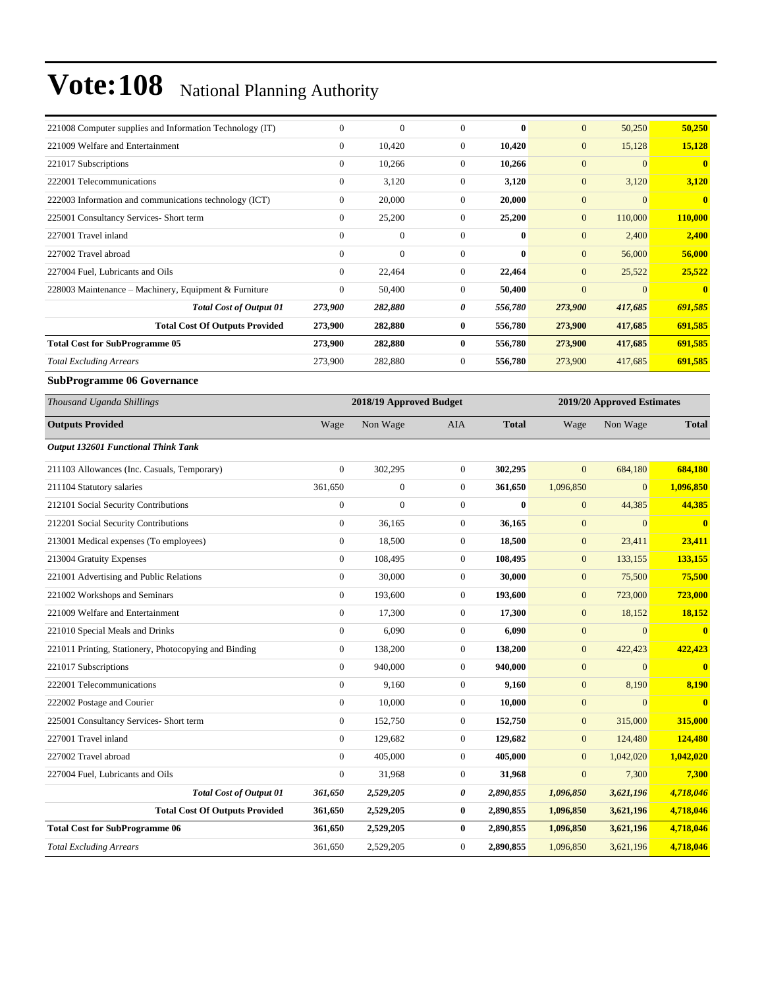| 221008 Computer supplies and Information Technology (IT) | $\boldsymbol{0}$ | $\boldsymbol{0}$        | $\boldsymbol{0}$ | $\bf{0}$     | $\mathbf{0}$     | 50,250                     | 50,250         |
|----------------------------------------------------------|------------------|-------------------------|------------------|--------------|------------------|----------------------------|----------------|
| 221009 Welfare and Entertainment                         | $\boldsymbol{0}$ | 10,420                  | $\mathbf{0}$     | 10,420       | $\mathbf{0}$     | 15,128                     | 15,128         |
| 221017 Subscriptions                                     | $\boldsymbol{0}$ | 10,266                  | $\mathbf{0}$     | 10,266       | $\boldsymbol{0}$ | $\mathbf{0}$               | $\bf{0}$       |
| 222001 Telecommunications                                | $\boldsymbol{0}$ | 3,120                   | $\mathbf{0}$     | 3,120        | $\mathbf{0}$     | 3,120                      | 3,120          |
| 222003 Information and communications technology (ICT)   | $\boldsymbol{0}$ | 20,000                  | $\boldsymbol{0}$ | 20,000       | $\mathbf{0}$     | $\overline{0}$             | $\bf{0}$       |
| 225001 Consultancy Services- Short term                  | $\boldsymbol{0}$ | 25,200                  | $\mathbf{0}$     | 25,200       | $\mathbf{0}$     | 110,000                    | 110,000        |
| 227001 Travel inland                                     | $\overline{0}$   | $\boldsymbol{0}$        | $\mathbf{0}$     | $\bf{0}$     | $\mathbf{0}$     | 2,400                      | 2,400          |
| 227002 Travel abroad                                     | $\boldsymbol{0}$ | $\overline{0}$          | $\mathbf{0}$     | $\bf{0}$     | $\mathbf{0}$     | 56,000                     | 56,000         |
| 227004 Fuel, Lubricants and Oils                         | $\overline{0}$   | 22,464                  | $\boldsymbol{0}$ | 22,464       | $\mathbf{0}$     | 25,522                     | <u>25,522</u>  |
| 228003 Maintenance - Machinery, Equipment & Furniture    | $\boldsymbol{0}$ | 50,400                  | $\boldsymbol{0}$ | 50,400       | $\mathbf{0}$     | $\overline{0}$             | $\bf{0}$       |
| <b>Total Cost of Output 01</b>                           | 273,900          | 282,880                 | 0                | 556,780      | 273,900          | 417,685                    | 691,585        |
| <b>Total Cost Of Outputs Provided</b>                    | 273,900          | 282,880                 | $\bf{0}$         | 556,780      | 273,900          | 417,685                    | 691,585        |
| <b>Total Cost for SubProgramme 05</b>                    | 273,900          | 282,880                 | $\bf{0}$         | 556,780      | 273,900          | 417,685                    | 691,585        |
| <b>Total Excluding Arrears</b>                           | 273,900          | 282,880                 | $\boldsymbol{0}$ | 556,780      | 273,900          | 417,685                    | 691,585        |
| <b>SubProgramme 06 Governance</b>                        |                  |                         |                  |              |                  |                            |                |
| Thousand Uganda Shillings                                |                  | 2018/19 Approved Budget |                  |              |                  | 2019/20 Approved Estimates |                |
| <b>Outputs Provided</b>                                  | Wage             | Non Wage                | AIA              | <b>Total</b> | Wage             | Non Wage                   | <b>Total</b>   |
| <b>Output 132601 Functional Think Tank</b>               |                  |                         |                  |              |                  |                            |                |
| 211103 Allowances (Inc. Casuals, Temporary)              | $\mathbf{0}$     | 302,295                 | $\boldsymbol{0}$ | 302,295      | $\mathbf{0}$     | 684,180                    | 684,180        |
| 211104 Statutory salaries                                | 361,650          | $\boldsymbol{0}$        | $\mathbf{0}$     | 361,650      | 1,096,850        | $\overline{0}$             | 1,096,850      |
| 212101 Social Security Contributions                     | $\boldsymbol{0}$ | $\boldsymbol{0}$        | $\mathbf{0}$     | $\bf{0}$     | $\mathbf{0}$     | 44,385                     | 44,385         |
| 212201 Social Security Contributions                     | $\boldsymbol{0}$ | 36,165                  | $\mathbf{0}$     | 36,165       | $\boldsymbol{0}$ | $\mathbf{0}$               | $\bf{0}$       |
| 213001 Medical expenses (To employees)                   | $\boldsymbol{0}$ | 18,500                  | $\mathbf{0}$     | 18,500       | $\boldsymbol{0}$ | 23,411                     | 23,411         |
| 213004 Gratuity Expenses                                 | $\mathbf{0}$     | 108,495                 | $\boldsymbol{0}$ | 108,495      | $\mathbf{0}$     | 133,155                    | 133,155        |
| 221001 Advertising and Public Relations                  | $\boldsymbol{0}$ | 30,000                  | $\mathbf{0}$     | 30,000       | $\boldsymbol{0}$ | 75,500                     | 75,500         |
| 221002 Workshops and Seminars                            | $\boldsymbol{0}$ | 193,600                 | $\mathbf{0}$     | 193,600      | $\mathbf{0}$     | 723,000                    | <b>723,000</b> |
| 221009 Welfare and Entertainment                         | $\boldsymbol{0}$ | 17,300                  | $\mathbf{0}$     | 17,300       | $\boldsymbol{0}$ | 18,152                     | 18,152         |
| 221010 Special Meals and Drinks                          | $\boldsymbol{0}$ | 6,090                   | $\mathbf{0}$     | 6,090        | $\mathbf{0}$     | $\overline{0}$             | $\bf{0}$       |
| 221011 Printing, Stationery, Photocopying and Binding    | $\boldsymbol{0}$ | 138,200                 | $\mathbf{0}$     | 138,200      | $\mathbf{0}$     | 422,423                    | 422,423        |
| 221017 Subscriptions                                     | $\overline{0}$   | 940,000                 | $\mathbf{0}$     | 940,000      | $\boldsymbol{0}$ | $\overline{0}$             | $\bf{0}$       |
| 222001 Telecommunications                                | $\boldsymbol{0}$ | 9,160                   | $\boldsymbol{0}$ | 9,160        | $\boldsymbol{0}$ | 8,190                      | 8,190          |
| 222002 Postage and Courier                               | $\boldsymbol{0}$ | 10,000                  | $\mathbf{0}$     | 10,000       | $\boldsymbol{0}$ | $\overline{0}$             | $\mathbf{0}$   |
| 225001 Consultancy Services- Short term                  | $\boldsymbol{0}$ | 152,750                 | $\boldsymbol{0}$ | 152,750      | $\boldsymbol{0}$ | 315,000                    | 315,000        |
| 227001 Travel inland                                     | $\mathbf{0}$     | 129,682                 | $\boldsymbol{0}$ | 129,682      | $\mathbf{0}$     | 124,480                    | 124,480        |
| 227002 Travel abroad                                     | $\boldsymbol{0}$ | 405,000                 | $\boldsymbol{0}$ | 405,000      | $\mathbf{0}$     | 1,042,020                  | 1,042,020      |
| 227004 Fuel, Lubricants and Oils                         | $\mathbf{0}$     | 31,968                  | $\boldsymbol{0}$ | 31,968       | $\mathbf{0}$     | 7,300                      | 7,300          |
| <b>Total Cost of Output 01</b>                           | 361,650          | 2,529,205               | 0                | 2,890,855    | 1,096,850        | 3,621,196                  | 4,718,046      |
| <b>Total Cost Of Outputs Provided</b>                    | 361,650          | 2,529,205               | $\bf{0}$         | 2,890,855    | 1,096,850        | 3,621,196                  | 4,718,046      |
| <b>Total Cost for SubProgramme 06</b>                    | 361,650          | 2,529,205               | $\bf{0}$         | 2,890,855    | 1,096,850        | 3,621,196                  | 4,718,046      |
| <b>Total Excluding Arrears</b>                           | 361,650          | 2,529,205               | $\boldsymbol{0}$ | 2,890,855    | 1,096,850        | 3,621,196                  | 4,718,046      |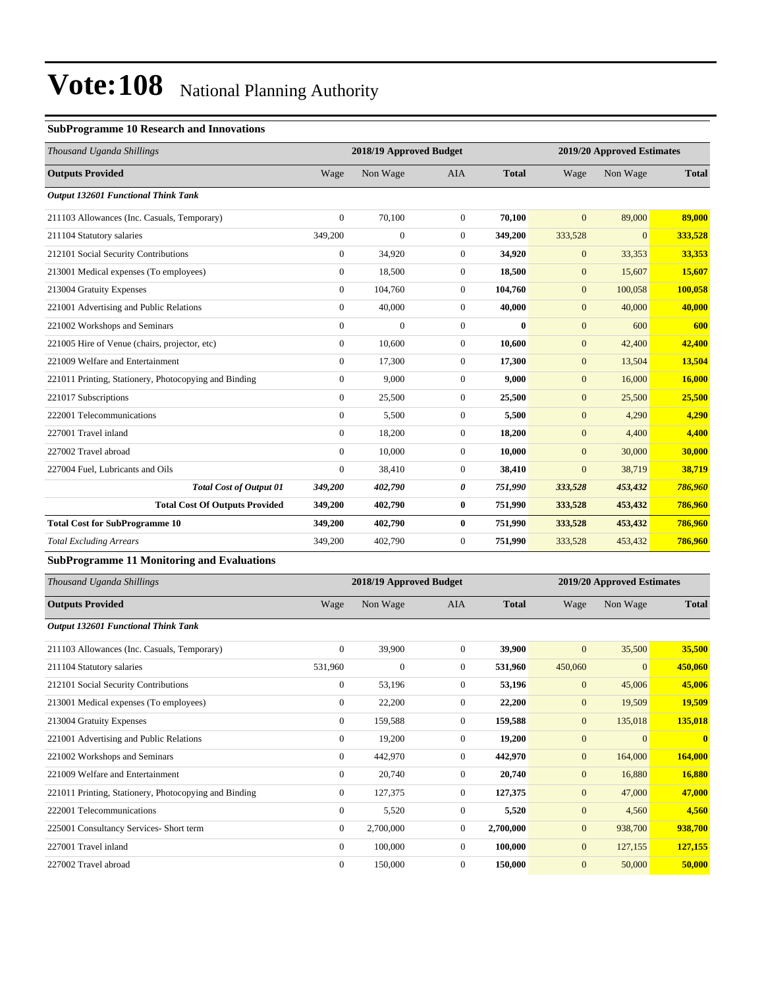### **SubProgramme 10 Research and Innovations**

| Thousand Uganda Shillings                             |                  | 2018/19 Approved Budget |                |              |                  | 2019/20 Approved Estimates |              |
|-------------------------------------------------------|------------------|-------------------------|----------------|--------------|------------------|----------------------------|--------------|
| <b>Outputs Provided</b>                               | Wage             | Non Wage                | <b>AIA</b>     | <b>Total</b> | Wage             | Non Wage                   | <b>Total</b> |
| <b>Output 132601 Functional Think Tank</b>            |                  |                         |                |              |                  |                            |              |
| 211103 Allowances (Inc. Casuals, Temporary)           | $\overline{0}$   | 70,100                  | $\overline{0}$ | 70,100       | $\overline{0}$   | 89,000                     | 89,000       |
| 211104 Statutory salaries                             | 349,200          | $\mathbf{0}$            | $\overline{0}$ | 349,200      | 333,528          | $\overline{0}$             | 333,528      |
| 212101 Social Security Contributions                  | $\overline{0}$   | 34,920                  | $\overline{0}$ | 34,920       | $\mathbf{0}$     | 33,353                     | 33,353       |
| 213001 Medical expenses (To employees)                | $\overline{0}$   | 18,500                  | $\overline{0}$ | 18,500       | $\mathbf{0}$     | 15,607                     | 15,607       |
| 213004 Gratuity Expenses                              | $\mathbf{0}$     | 104,760                 | $\overline{0}$ | 104,760      | $\mathbf{0}$     | 100,058                    | 100,058      |
| 221001 Advertising and Public Relations               | $\overline{0}$   | 40,000                  | $\overline{0}$ | 40,000       | $\mathbf{0}$     | 40,000                     | 40,000       |
| 221002 Workshops and Seminars                         | $\mathbf{0}$     | $\mathbf{0}$            | $\overline{0}$ | $\mathbf{0}$ | $\overline{0}$   | 600                        | 600          |
| 221005 Hire of Venue (chairs, projector, etc)         | $\overline{0}$   | 10,600                  | $\overline{0}$ | 10,600       | $\boldsymbol{0}$ | 42,400                     | 42,400       |
| 221009 Welfare and Entertainment                      | $\overline{0}$   | 17,300                  | $\overline{0}$ | 17,300       | $\mathbf{0}$     | 13,504                     | 13,504       |
| 221011 Printing, Stationery, Photocopying and Binding | $\boldsymbol{0}$ | 9,000                   | $\mathbf{0}$   | 9,000        | $\mathbf{0}$     | 16,000                     | 16,000       |
| 221017 Subscriptions                                  | $\overline{0}$   | 25,500                  | $\overline{0}$ | 25,500       | $\mathbf{0}$     | 25,500                     | 25,500       |
| 222001 Telecommunications                             | $\boldsymbol{0}$ | 5,500                   | $\mathbf{0}$   | 5,500        | $\mathbf{0}$     | 4,290                      | 4,290        |
| 227001 Travel inland                                  | $\Omega$         | 18,200                  | $\overline{0}$ | 18,200       | $\mathbf{0}$     | 4,400                      | 4,400        |
| 227002 Travel abroad                                  | $\overline{0}$   | 10.000                  | $\overline{0}$ | 10,000       | $\overline{0}$   | 30,000                     | 30,000       |
| 227004 Fuel, Lubricants and Oils                      | $\mathbf{0}$     | 38,410                  | $\overline{0}$ | 38,410       | $\boldsymbol{0}$ | 38,719                     | 38,719       |
| <b>Total Cost of Output 01</b>                        | 349,200          | 402,790                 | 0              | 751,990      | 333,528          | 453,432                    | 786,960      |
| <b>Total Cost Of Outputs Provided</b>                 | 349,200          | 402,790                 | $\bf{0}$       | 751,990      | 333,528          | 453,432                    | 786,960      |
| <b>Total Cost for SubProgramme 10</b>                 | 349,200          | 402,790                 | $\bf{0}$       | 751,990      | 333,528          | 453,432                    | 786,960      |
| <b>Total Excluding Arrears</b>                        | 349,200          | 402,790                 | $\mathbf{0}$   | 751,990      | 333,528          | 453,432                    | 786,960      |
| <b>SubProgramme 11 Monitoring and Evaluations</b>     |                  |                         |                |              |                  |                            |              |

| Thousand Uganda Shillings                             |                | 2018/19 Approved Budget |                |              |              | 2019/20 Approved Estimates |                         |  |
|-------------------------------------------------------|----------------|-------------------------|----------------|--------------|--------------|----------------------------|-------------------------|--|
| <b>Outputs Provided</b>                               | Wage           | Non Wage                | AIA            | <b>Total</b> | Wage         | Non Wage                   | <b>Total</b>            |  |
| Output 132601 Functional Think Tank                   |                |                         |                |              |              |                            |                         |  |
| 211103 Allowances (Inc. Casuals, Temporary)           | $\overline{0}$ | 39,900                  | $\overline{0}$ | 39,900       | $\mathbf{0}$ | 35,500                     | 35,500                  |  |
| 211104 Statutory salaries                             | 531,960        | $\boldsymbol{0}$        | $\overline{0}$ | 531,960      | 450,060      | $\mathbf{0}$               | 450,060                 |  |
| 212101 Social Security Contributions                  | $\bf{0}$       | 53,196                  | $\theta$       | 53,196       | $\mathbf{0}$ | 45,006                     | 45,006                  |  |
| 213001 Medical expenses (To employees)                | $\mathbf{0}$   | 22,200                  | $\overline{0}$ | 22,200       | $\mathbf{0}$ | 19,509                     | 19,509                  |  |
| 213004 Gratuity Expenses                              | $\mathbf{0}$   | 159,588                 | $\overline{0}$ | 159,588      | $\mathbf{0}$ | 135,018                    | 135,018                 |  |
| 221001 Advertising and Public Relations               | 0              | 19,200                  | $\overline{0}$ | 19,200       | $\mathbf{0}$ | $\mathbf{0}$               | $\overline{\mathbf{0}}$ |  |
| 221002 Workshops and Seminars                         | $\overline{0}$ | 442,970                 | $\theta$       | 442,970      | $\mathbf{0}$ | 164,000                    | 164,000                 |  |
| 221009 Welfare and Entertainment                      | $\mathbf{0}$   | 20,740                  | $\overline{0}$ | 20,740       | $\mathbf{0}$ | 16,880                     | 16,880                  |  |
| 221011 Printing, Stationery, Photocopying and Binding | $\mathbf{0}$   | 127,375                 | $\overline{0}$ | 127,375      | $\mathbf{0}$ | 47,000                     | 47,000                  |  |
| 222001 Telecommunications                             | $\overline{0}$ | 5,520                   | $\overline{0}$ | 5,520        | $\mathbf{0}$ | 4,560                      | 4,560                   |  |
| 225001 Consultancy Services- Short term               | $\overline{0}$ | 2,700,000               | $\overline{0}$ | 2,700,000    | $\mathbf{0}$ | 938,700                    | 938,700                 |  |
| 227001 Travel inland                                  | $\mathbf{0}$   | 100,000                 | $\overline{0}$ | 100,000      | $\mathbf{0}$ | 127,155                    | 127,155                 |  |
| 227002 Travel abroad                                  | $\theta$       | 150,000                 | $\theta$       | 150,000      | $\mathbf{0}$ | 50,000                     | 50,000                  |  |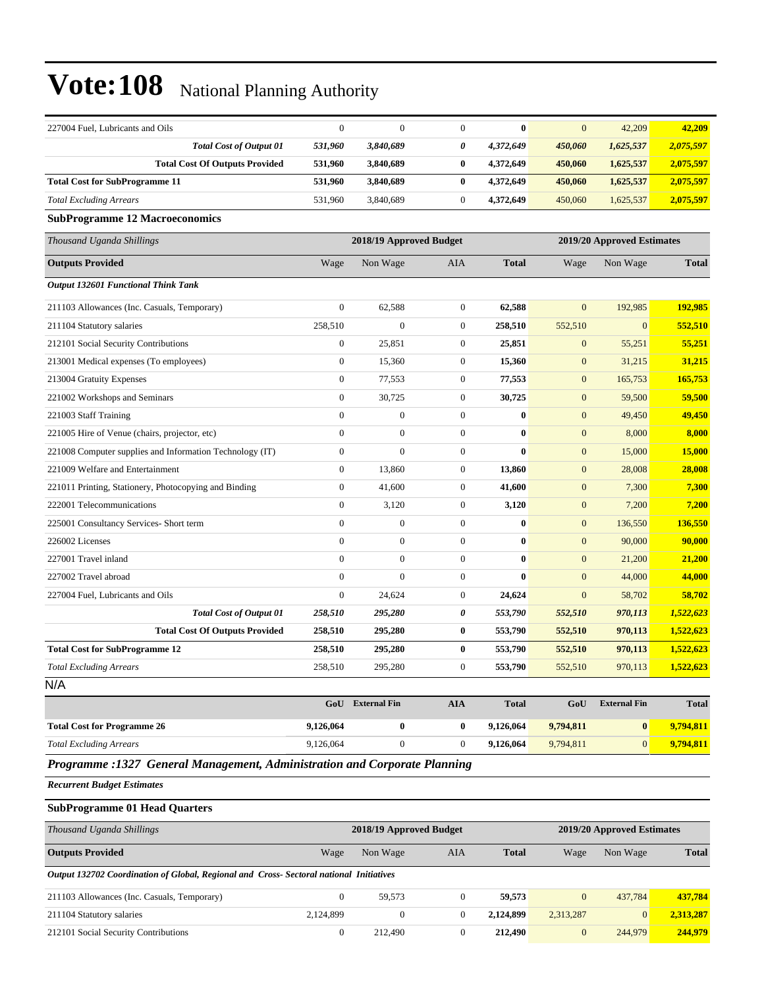| 227004 Fuel, Lubricants and Oils                                          | $\boldsymbol{0}$ | $\mathbf{0}$            | $\theta$         | $\bf{0}$     | $\mathbf{0}$     | 42,209                     | 42,209       |  |
|---------------------------------------------------------------------------|------------------|-------------------------|------------------|--------------|------------------|----------------------------|--------------|--|
| <b>Total Cost of Output 01</b>                                            | 531,960          | 3,840,689               | 0                | 4,372,649    | 450,060          | 1,625,537                  | 2,075,597    |  |
| <b>Total Cost Of Outputs Provided</b>                                     | 531,960          | 3,840,689               | $\bf{0}$         | 4,372,649    | 450,060          | 1,625,537                  | 2,075,597    |  |
| <b>Total Cost for SubProgramme 11</b>                                     | 531,960          | 3,840,689               | $\bf{0}$         | 4,372,649    | 450,060          | 1,625,537                  | 2,075,597    |  |
| <b>Total Excluding Arrears</b>                                            | 531,960          | 3,840,689               | $\boldsymbol{0}$ | 4,372,649    | 450,060          | 1,625,537                  | 2,075,597    |  |
| <b>SubProgramme 12 Macroeconomics</b>                                     |                  |                         |                  |              |                  |                            |              |  |
| Thousand Uganda Shillings                                                 |                  | 2018/19 Approved Budget |                  |              |                  | 2019/20 Approved Estimates |              |  |
| <b>Outputs Provided</b>                                                   | Wage             | Non Wage                | AIA              | <b>Total</b> | Wage             | Non Wage                   | <b>Total</b> |  |
| <b>Output 132601 Functional Think Tank</b>                                |                  |                         |                  |              |                  |                            |              |  |
| 211103 Allowances (Inc. Casuals, Temporary)                               | $\boldsymbol{0}$ | 62,588                  | $\mathbf{0}$     | 62,588       | $\mathbf{0}$     | 192,985                    | 192,985      |  |
| 211104 Statutory salaries                                                 | 258,510          | $\boldsymbol{0}$        | $\mathbf{0}$     | 258,510      | 552,510          | $\boldsymbol{0}$           | 552,510      |  |
| 212101 Social Security Contributions                                      | $\boldsymbol{0}$ | 25,851                  | $\mathbf{0}$     | 25,851       | $\boldsymbol{0}$ | 55,251                     | 55,251       |  |
| 213001 Medical expenses (To employees)                                    | $\boldsymbol{0}$ | 15,360                  | $\mathbf{0}$     | 15,360       | $\mathbf{0}$     | 31,215                     | 31,215       |  |
| 213004 Gratuity Expenses                                                  | $\boldsymbol{0}$ | 77,553                  | $\boldsymbol{0}$ | 77,553       | $\boldsymbol{0}$ | 165,753                    | 165,753      |  |
| 221002 Workshops and Seminars                                             | $\boldsymbol{0}$ | 30,725                  | $\mathbf{0}$     | 30,725       | $\boldsymbol{0}$ | 59,500                     | 59,500       |  |
| 221003 Staff Training                                                     | $\boldsymbol{0}$ | $\boldsymbol{0}$        | $\mathbf{0}$     | $\bf{0}$     | $\boldsymbol{0}$ | 49,450                     | 49,450       |  |
| 221005 Hire of Venue (chairs, projector, etc)                             | $\boldsymbol{0}$ | $\boldsymbol{0}$        | $\overline{0}$   | $\bf{0}$     | $\boldsymbol{0}$ | 8,000                      | 8,000        |  |
| 221008 Computer supplies and Information Technology (IT)                  | $\boldsymbol{0}$ | $\mathbf{0}$            | $\mathbf{0}$     | $\bf{0}$     | $\overline{0}$   | 15,000                     | 15,000       |  |
| 221009 Welfare and Entertainment                                          | $\boldsymbol{0}$ | 13.860                  | $\mathbf{0}$     | 13,860       | $\mathbf{0}$     | 28,008                     | 28,008       |  |
| 221011 Printing, Stationery, Photocopying and Binding                     | $\boldsymbol{0}$ | 41,600                  | $\mathbf{0}$     | 41,600       | $\boldsymbol{0}$ | 7,300                      | 7,300        |  |
| 222001 Telecommunications                                                 | $\boldsymbol{0}$ | 3,120                   | $\mathbf{0}$     | 3,120        | $\boldsymbol{0}$ | 7,200                      | 7,200        |  |
| 225001 Consultancy Services- Short term                                   | $\boldsymbol{0}$ | $\boldsymbol{0}$        | $\boldsymbol{0}$ | $\bf{0}$     | $\boldsymbol{0}$ | 136,550                    | 136,550      |  |
| 226002 Licenses                                                           | $\overline{0}$   | $\mathbf{0}$            | $\mathbf{0}$     | $\bf{0}$     | $\mathbf{0}$     | 90,000                     | 90,000       |  |
| 227001 Travel inland                                                      | $\boldsymbol{0}$ | $\mathbf{0}$            | $\theta$         | $\bf{0}$     | $\mathbf{0}$     | 21,200                     | 21,200       |  |
| 227002 Travel abroad                                                      | $\overline{0}$   | $\mathbf{0}$            | $\mathbf{0}$     | $\bf{0}$     | $\boldsymbol{0}$ | 44,000                     | 44,000       |  |
| 227004 Fuel, Lubricants and Oils                                          | $\boldsymbol{0}$ | 24,624                  | $\mathbf{0}$     | 24,624       | $\mathbf{0}$     | 58,702                     | 58,702       |  |
| <b>Total Cost of Output 01</b>                                            | 258,510          | 295,280                 | 0                | 553,790      | 552,510          | 970,113                    | 1,522,623    |  |
| <b>Total Cost Of Outputs Provided</b>                                     | 258,510          | 295,280                 | $\bf{0}$         | 553,790      | 552,510          | 970,113                    | 1,522,623    |  |
| <b>Total Cost for SubProgramme 12</b>                                     | 258,510          | 295,280                 | $\bf{0}$         | 553,790      | 552,510          | 970,113                    | 1,522,623    |  |
| <b>Total Excluding Arrears</b>                                            | 258,510          | 295,280                 | $\theta$         | 553,790      | 552,510          | 970,113                    | 1,522,623    |  |
| N/A                                                                       |                  |                         |                  |              |                  |                            |              |  |
|                                                                           | GoU              | <b>External Fin</b>     | <b>AIA</b>       | <b>Total</b> | GoU              | <b>External Fin</b>        | <b>Total</b> |  |
| <b>Total Cost for Programme 26</b>                                        | 9,126,064        | $\pmb{0}$               | $\bf{0}$         | 9,126,064    | 9,794,811        | $\bf{0}$                   | 9,794,811    |  |
| <b>Total Excluding Arrears</b>                                            | 9,126,064        | $\boldsymbol{0}$        | $\boldsymbol{0}$ | 9,126,064    | 9,794,811        | $\overline{0}$             | 9,794,811    |  |
| Programme :1327 General Management, Administration and Corporate Planning |                  |                         |                  |              |                  |                            |              |  |

*Recurrent Budget Estimates*

#### **SubProgramme 01 Head Quarters**

| Thousand Uganda Shillings                                                               | 2018/19 Approved Budget<br>2019/20 Approved Estimates |          |                |              |              |                |              |
|-----------------------------------------------------------------------------------------|-------------------------------------------------------|----------|----------------|--------------|--------------|----------------|--------------|
| <b>Outputs Provided</b>                                                                 | Wage                                                  | Non Wage | AIA            | <b>Total</b> | Wage         | Non Wage       | <b>Total</b> |
| Output 132702 Coordination of Global, Regional and Cross- Sectoral national Initiatives |                                                       |          |                |              |              |                |              |
| 211103 Allowances (Inc. Casuals, Temporary)                                             |                                                       | 59.573   | $\overline{0}$ | 59.573       | $\mathbf{0}$ | 437,784        | 437.784      |
| 211104 Statutory salaries                                                               | 2.124.899                                             | 0        | $\Omega$       | 2,124,899    | 2,313,287    | $\overline{0}$ | 2.313.287    |
| 212101 Social Security Contributions                                                    | $\theta$                                              | 212,490  | 0              | 212,490      | $\mathbf{0}$ | 244,979        | 244,979      |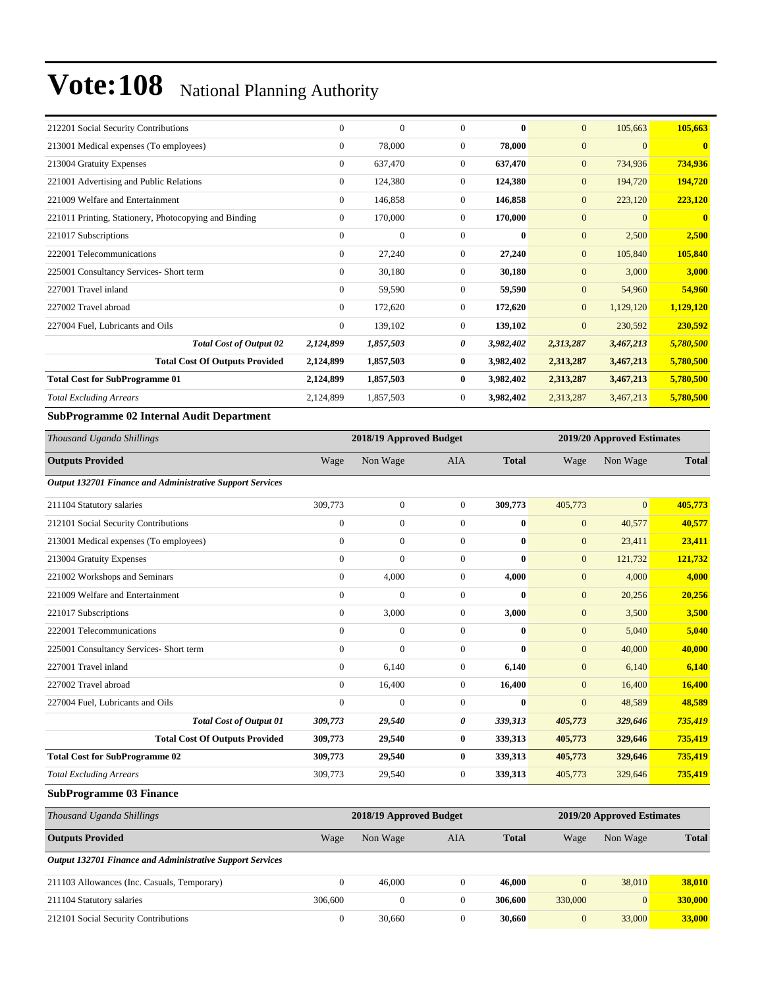| 212201 Social Security Contributions                  | $\Omega$       | $\overline{0}$ | $\Omega$       | $\mathbf{0}$ | $\mathbf{0}$   | 105,663        | 105,663      |
|-------------------------------------------------------|----------------|----------------|----------------|--------------|----------------|----------------|--------------|
| 213001 Medical expenses (To employees)                | $\mathbf{0}$   | 78,000         | $\overline{0}$ | 78,000       | $\mathbf{0}$   | $\overline{0}$ | $\mathbf{0}$ |
| 213004 Gratuity Expenses                              | $\bf{0}$       | 637,470        | 0              | 637,470      | $\mathbf{0}$   | 734,936        | 734,936      |
| 221001 Advertising and Public Relations               | $\mathbf{0}$   | 124,380        | $\overline{0}$ | 124,380      | $\mathbf{0}$   | 194,720        | 194,720      |
| 221009 Welfare and Entertainment                      | $\mathbf{0}$   | 146,858        | $\overline{0}$ | 146,858      | $\mathbf{0}$   | 223,120        | 223,120      |
| 221011 Printing, Stationery, Photocopying and Binding | $\bf{0}$       | 170,000        | $\overline{0}$ | 170,000      | $\mathbf{0}$   | $\overline{0}$ | $\mathbf{0}$ |
| 221017 Subscriptions                                  | $\Omega$       | $\mathbf{0}$   | $\overline{0}$ | $\bf{0}$     | $\mathbf{0}$   | 2,500          | 2,500        |
| 222001 Telecommunications                             | $\mathbf{0}$   | 27,240         | $\overline{0}$ | 27,240       | $\mathbf{0}$   | 105,840        | 105,840      |
| 225001 Consultancy Services- Short term               | $\mathbf{0}$   | 30,180         | $\overline{0}$ | 30,180       | $\mathbf{0}$   | 3,000          | 3,000        |
| 227001 Travel inland                                  | $\overline{0}$ | 59,590         | $\overline{0}$ | 59,590       | $\mathbf{0}$   | 54,960         | 54,960       |
| 227002 Travel abroad                                  | $\Omega$       | 172,620        | $\overline{0}$ | 172,620      | $\overline{0}$ | 1,129,120      | 1,129,120    |
| 227004 Fuel, Lubricants and Oils                      | $\mathbf{0}$   | 139,102        | $\overline{0}$ | 139,102      | $\mathbf{0}$   | 230,592        | 230,592      |
| <b>Total Cost of Output 02</b>                        | 2,124,899      | 1,857,503      | 0              | 3,982,402    | 2,313,287      | 3,467,213      | 5,780,500    |
| <b>Total Cost Of Outputs Provided</b>                 | 2,124,899      | 1,857,503      | $\bf{0}$       | 3,982,402    | 2,313,287      | 3,467,213      | 5,780,500    |
| <b>Total Cost for SubProgramme 01</b>                 | 2,124,899      | 1,857,503      | $\bf{0}$       | 3,982,402    | 2,313,287      | 3,467,213      | 5,780,500    |
| <b>Total Excluding Arrears</b>                        | 2,124,899      | 1,857,503      | $\overline{0}$ | 3,982,402    | 2,313,287      | 3,467,213      | 5,780,500    |

#### **SubProgramme 02 Internal Audit Department**

| Thousand Uganda Shillings                                        |                  | 2018/19 Approved Budget |                  |              |                | 2019/20 Approved Estimates |              |  |
|------------------------------------------------------------------|------------------|-------------------------|------------------|--------------|----------------|----------------------------|--------------|--|
| <b>Outputs Provided</b>                                          | Wage             | Non Wage                | <b>AIA</b>       | <b>Total</b> | Wage           | Non Wage                   | <b>Total</b> |  |
| <b>Output 132701 Finance and Administrative Support Services</b> |                  |                         |                  |              |                |                            |              |  |
| 211104 Statutory salaries                                        | 309,773          | $\mathbf{0}$            | $\overline{0}$   | 309,773      | 405,773        | $\overline{0}$             | 405,773      |  |
| 212101 Social Security Contributions                             | $\boldsymbol{0}$ | $\mathbf{0}$            | $\overline{0}$   | $\bf{0}$     | $\mathbf{0}$   | 40,577                     | 40,577       |  |
| 213001 Medical expenses (To employees)                           | $\mathbf{0}$     | $\mathbf{0}$            | $\overline{0}$   | 0            | $\mathbf{0}$   | 23,411                     | 23,411       |  |
| 213004 Gratuity Expenses                                         | $\mathbf{0}$     | $\Omega$                | $\mathbf{0}$     | 0            | $\overline{0}$ | 121,732                    | 121,732      |  |
| 221002 Workshops and Seminars                                    | $\mathbf{0}$     | 4,000                   | $\overline{0}$   | 4,000        | $\mathbf{0}$   | 4,000                      | 4,000        |  |
| 221009 Welfare and Entertainment                                 | $\mathbf{0}$     | $\Omega$                | $\mathbf{0}$     | $\bf{0}$     | $\mathbf{0}$   | 20,256                     | 20,256       |  |
| 221017 Subscriptions                                             | $\mathbf{0}$     | 3,000                   | $\overline{0}$   | 3,000        | $\mathbf{0}$   | 3,500                      | 3,500        |  |
| 222001 Telecommunications                                        | $\boldsymbol{0}$ | $\mathbf{0}$            | $\overline{0}$   | $\mathbf{0}$ | $\mathbf{0}$   | 5,040                      | 5,040        |  |
| 225001 Consultancy Services- Short term                          | $\mathbf{0}$     | $\mathbf{0}$            | $\mathbf{0}$     | $\bf{0}$     | $\mathbf{0}$   | 40,000                     | 40,000       |  |
| 227001 Travel inland                                             | $\mathbf{0}$     | 6,140                   | $\boldsymbol{0}$ | 6,140        | $\mathbf{0}$   | 6,140                      | 6,140        |  |
| 227002 Travel abroad                                             | $\mathbf{0}$     | 16,400                  | $\overline{0}$   | 16,400       | $\overline{0}$ | 16,400                     | 16,400       |  |
| 227004 Fuel, Lubricants and Oils                                 | $\mathbf{0}$     | $\mathbf{0}$            | $\overline{0}$   | $\bf{0}$     | $\mathbf{0}$   | 48,589                     | 48,589       |  |
| <b>Total Cost of Output 01</b>                                   | 309,773          | 29,540                  | 0                | 339,313      | 405,773        | 329,646                    | 735,419      |  |
| <b>Total Cost Of Outputs Provided</b>                            | 309,773          | 29,540                  | $\bf{0}$         | 339,313      | 405,773        | 329,646                    | 735,419      |  |
| <b>Total Cost for SubProgramme 02</b>                            | 309,773          | 29,540                  | $\bf{0}$         | 339,313      | 405,773        | 329,646                    | 735,419      |  |
| <b>Total Excluding Arrears</b>                                   | 309,773          | 29,540                  | $\overline{0}$   | 339,313      | 405,773        | 329,646                    | 735,419      |  |

#### **SubProgramme 03 Finance**

| Thousand Uganda Shillings                                        | 2018/19 Approved Budget |          |          |              |              | 2019/20 Approved Estimates |              |  |
|------------------------------------------------------------------|-------------------------|----------|----------|--------------|--------------|----------------------------|--------------|--|
| <b>Outputs Provided</b>                                          | Wage                    | Non Wage | AIA      | <b>Total</b> | Wage         | Non Wage                   | <b>Total</b> |  |
| <b>Output 132701 Finance and Administrative Support Services</b> |                         |          |          |              |              |                            |              |  |
| 211103 Allowances (Inc. Casuals, Temporary)                      | $\Omega$                | 46,000   | $\Omega$ | 46,000       | $\mathbf{0}$ | 38,010                     | 38.010       |  |
| 211104 Statutory salaries                                        | 306,600                 | $\Omega$ | $\Omega$ | 306,600      | 330,000      | $\overline{0}$             | 330,000      |  |
| 212101 Social Security Contributions                             | $\mathbf{0}$            | 30,660   | 0        | 30,660       | $\mathbf{0}$ | 33,000                     | 33,000       |  |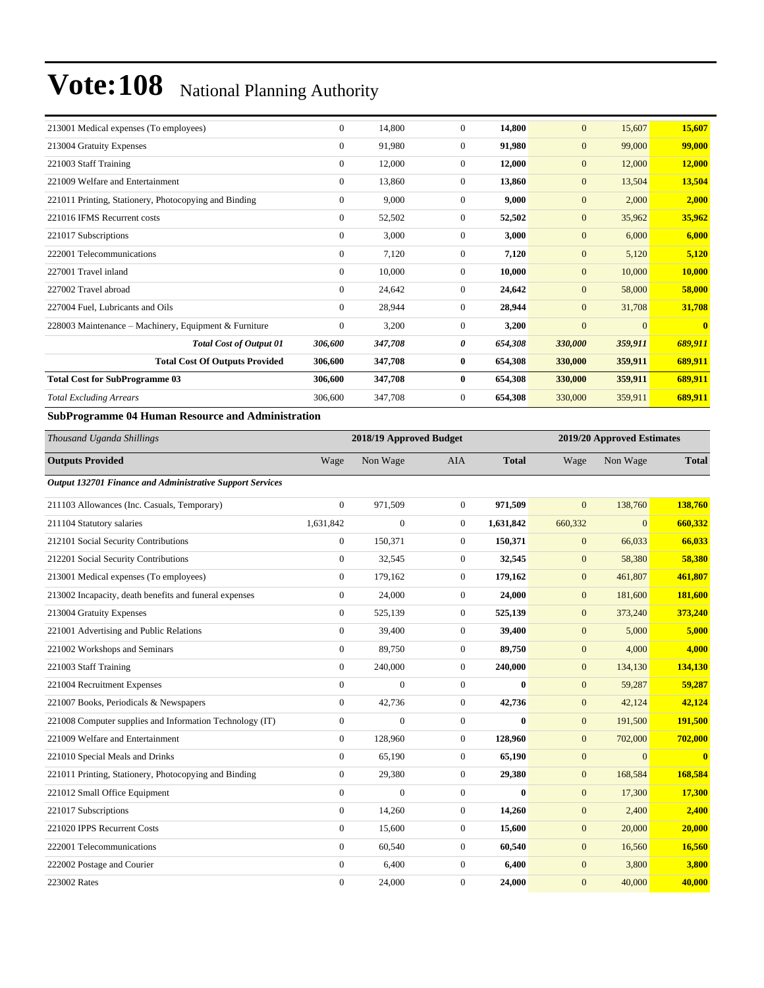| 213001 Medical expenses (To employees)                | $\Omega$       | 14,800  | $\overline{0}$   | 14,800  | $\overline{0}$ | 15,607   | 15,607  |
|-------------------------------------------------------|----------------|---------|------------------|---------|----------------|----------|---------|
| 213004 Gratuity Expenses                              | $\Omega$       | 91,980  | $\overline{0}$   | 91,980  | $\overline{0}$ | 99,000   | 99,000  |
| 221003 Staff Training                                 | 0              | 12,000  | $\overline{0}$   | 12,000  | $\overline{0}$ | 12,000   | 12,000  |
| 221009 Welfare and Entertainment                      | $\overline{0}$ | 13,860  | $\overline{0}$   | 13,860  | $\overline{0}$ | 13,504   | 13,504  |
| 221011 Printing, Stationery, Photocopying and Binding | $\overline{0}$ | 9,000   | $\overline{0}$   | 9,000   | $\overline{0}$ | 2,000    | 2,000   |
| 221016 IFMS Recurrent costs                           | $\Omega$       | 52,502  | $\mathbf{0}$     | 52,502  | $\overline{0}$ | 35,962   | 35,962  |
| 221017 Subscriptions                                  | $\Omega$       | 3,000   | $\overline{0}$   | 3,000   | $\overline{0}$ | 6,000    | 6,000   |
| 222001 Telecommunications                             | 0              | 7,120   | $\boldsymbol{0}$ | 7,120   | $\overline{0}$ | 5,120    | 5,120   |
| 227001 Travel inland                                  | $\Omega$       | 10,000  | $\overline{0}$   | 10,000  | $\overline{0}$ | 10,000   | 10,000  |
| 227002 Travel abroad                                  | 0              | 24,642  | $\overline{0}$   | 24,642  | $\overline{0}$ | 58,000   | 58,000  |
| 227004 Fuel, Lubricants and Oils                      | $\Omega$       | 28,944  | $\mathbf{0}$     | 28,944  | $\overline{0}$ | 31,708   | 31,708  |
| 228003 Maintenance - Machinery, Equipment & Furniture | $\overline{0}$ | 3,200   | $\mathbf{0}$     | 3,200   | $\overline{0}$ | $\Omega$ |         |
| <b>Total Cost of Output 01</b>                        | 306,600        | 347,708 | 0                | 654,308 | 330,000        | 359,911  | 689,911 |
| <b>Total Cost Of Outputs Provided</b>                 | 306,600        | 347,708 | $\bf{0}$         | 654,308 | 330,000        | 359,911  | 689,911 |
| <b>Total Cost for SubProgramme 03</b>                 | 306,600        | 347,708 | $\bf{0}$         | 654,308 | 330,000        | 359,911  | 689,911 |
| <b>Total Excluding Arrears</b>                        | 306,600        | 347,708 | $\overline{0}$   | 654,308 | 330,000        | 359,911  | 689,911 |
|                                                       |                |         |                  |         |                |          |         |

#### **SubProgramme 04 Human Resource and Administration**

| Thousand Uganda Shillings                                 |                  | 2018/19 Approved Budget |                  |              |              | 2019/20 Approved Estimates |              |  |
|-----------------------------------------------------------|------------------|-------------------------|------------------|--------------|--------------|----------------------------|--------------|--|
| <b>Outputs Provided</b>                                   | Wage             | Non Wage                | <b>AIA</b>       | <b>Total</b> | Wage         | Non Wage                   | <b>Total</b> |  |
| Output 132701 Finance and Administrative Support Services |                  |                         |                  |              |              |                            |              |  |
| 211103 Allowances (Inc. Casuals, Temporary)               | $\mathbf{0}$     | 971,509                 | $\overline{0}$   | 971.509      | $\mathbf{0}$ | 138,760                    | 138,760      |  |
| 211104 Statutory salaries                                 | 1,631,842        | $\overline{0}$          | $\overline{0}$   | 1,631,842    | 660,332      | $\overline{0}$             | 660,332      |  |
| 212101 Social Security Contributions                      | $\mathbf{0}$     | 150,371                 | $\boldsymbol{0}$ | 150,371      | $\mathbf{0}$ | 66,033                     | 66,033       |  |
| 212201 Social Security Contributions                      | $\mathbf{0}$     | 32,545                  | $\overline{0}$   | 32,545       | $\mathbf{0}$ | 58,380                     | 58,380       |  |
| 213001 Medical expenses (To employees)                    | $\mathbf{0}$     | 179,162                 | $\overline{0}$   | 179,162      | $\mathbf{0}$ | 461,807                    | 461,807      |  |
| 213002 Incapacity, death benefits and funeral expenses    | $\boldsymbol{0}$ | 24,000                  | $\overline{0}$   | 24,000       | $\mathbf{0}$ | 181,600                    | 181,600      |  |
| 213004 Gratuity Expenses                                  | $\mathbf{0}$     | 525,139                 | 0                | 525,139      | $\mathbf{0}$ | 373,240                    | 373,240      |  |
| 221001 Advertising and Public Relations                   | $\mathbf{0}$     | 39,400                  | $\boldsymbol{0}$ | 39,400       | $\mathbf{0}$ | 5,000                      | 5,000        |  |
| 221002 Workshops and Seminars                             | $\boldsymbol{0}$ | 89,750                  | $\boldsymbol{0}$ | 89,750       | $\mathbf{0}$ | 4,000                      | 4,000        |  |
| 221003 Staff Training                                     | $\overline{0}$   | 240,000                 | $\overline{0}$   | 240,000      | $\mathbf{0}$ | 134,130                    | 134,130      |  |
| 221004 Recruitment Expenses                               | $\Omega$         | $\overline{0}$          | $\overline{0}$   | $\bf{0}$     | $\mathbf{0}$ | 59,287                     | 59,287       |  |
| 221007 Books, Periodicals & Newspapers                    | $\mathbf{0}$     | 42,736                  | $\boldsymbol{0}$ | 42,736       | $\mathbf{0}$ | 42,124                     | 42,124       |  |
| 221008 Computer supplies and Information Technology (IT)  | $\Omega$         | $\theta$                | $\overline{0}$   | $\bf{0}$     | $\mathbf{0}$ | 191,500                    | 191,500      |  |
| 221009 Welfare and Entertainment                          | $\mathbf{0}$     | 128,960                 | $\overline{0}$   | 128,960      | $\mathbf{0}$ | 702,000                    | 702,000      |  |
| 221010 Special Meals and Drinks                           | $\mathbf{0}$     | 65,190                  | $\overline{0}$   | 65,190       | $\mathbf{0}$ | $\overline{0}$             | $\bf{0}$     |  |
| 221011 Printing, Stationery, Photocopying and Binding     | $\mathbf{0}$     | 29,380                  | $\boldsymbol{0}$ | 29,380       | $\mathbf{0}$ | 168,584                    | 168,584      |  |
| 221012 Small Office Equipment                             | $\mathbf{0}$     | $\overline{0}$          | $\overline{0}$   | $\bf{0}$     | $\mathbf{0}$ | 17,300                     | 17,300       |  |
| 221017 Subscriptions                                      | $\boldsymbol{0}$ | 14,260                  | $\boldsymbol{0}$ | 14,260       | $\mathbf{0}$ | 2,400                      | 2,400        |  |
| 221020 IPPS Recurrent Costs                               | $\mathbf{0}$     | 15,600                  | $\overline{0}$   | 15,600       | $\mathbf{0}$ | 20,000                     | 20,000       |  |
| 222001 Telecommunications                                 | $\mathbf{0}$     | 60,540                  | $\boldsymbol{0}$ | 60,540       | $\mathbf{0}$ | 16,560                     | 16,560       |  |
| 222002 Postage and Courier                                | $\mathbf{0}$     | 6,400                   | 0                | 6,400        | $\mathbf{0}$ | 3,800                      | 3,800        |  |
| 223002 Rates                                              | $\mathbf{0}$     | 24,000                  | $\overline{0}$   | 24.000       | $\mathbf{0}$ | 40,000                     | 40,000       |  |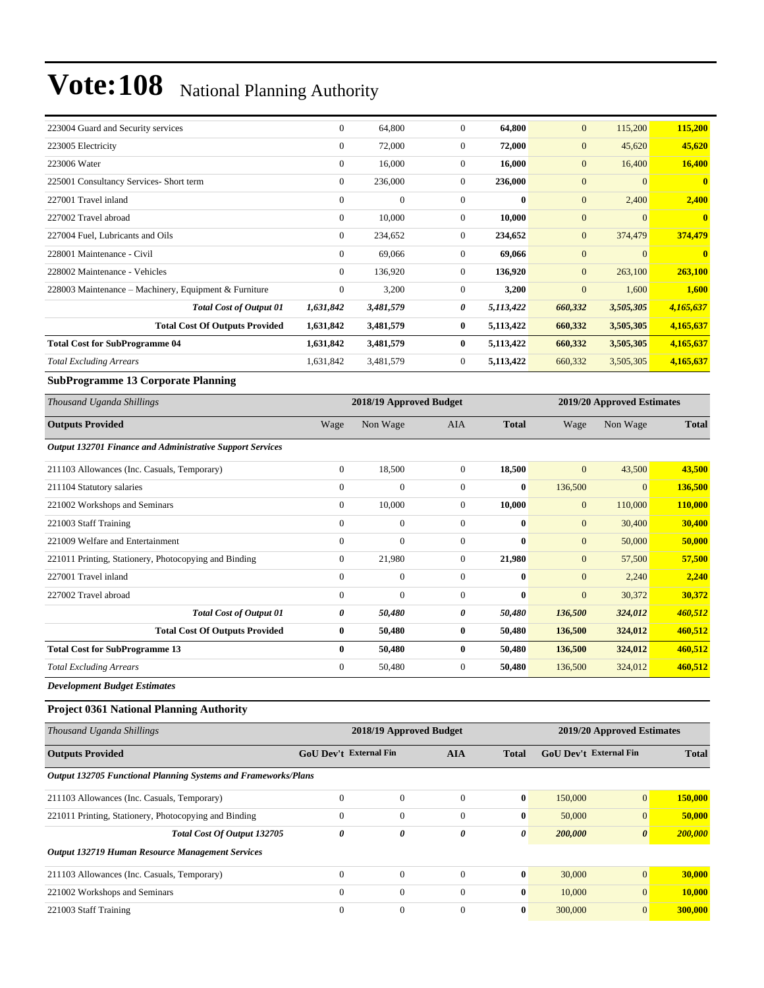| 223004 Guard and Security services                    | $\Omega$     | 64,800         | $\mathbf{0}$   | 64,800       | $\overline{0}$ | 115,200   | 115,200      |
|-------------------------------------------------------|--------------|----------------|----------------|--------------|----------------|-----------|--------------|
| 223005 Electricity                                    | $\Omega$     | 72,000         | $\mathbf{0}$   | 72,000       | $\overline{0}$ | 45,620    | 45,620       |
| 223006 Water                                          | $\Omega$     | 16,000         | $\mathbf{0}$   | 16,000       | $\overline{0}$ | 16,400    | 16,400       |
| 225001 Consultancy Services- Short term               | $\mathbf{0}$ | 236,000        | $\mathbf{0}$   | 236,000      | $\overline{0}$ | $\Omega$  | $\mathbf{0}$ |
| 227001 Travel inland                                  | $\Omega$     | $\overline{0}$ | $\overline{0}$ | $\mathbf{0}$ | $\overline{0}$ | 2,400     | 2,400        |
| 227002 Travel abroad                                  | $\Omega$     | 10,000         | $\mathbf{0}$   | 10,000       | $\overline{0}$ | $\Omega$  | $\mathbf{0}$ |
| 227004 Fuel, Lubricants and Oils                      | $\Omega$     | 234,652        | $\mathbf{0}$   | 234,652      | $\overline{0}$ | 374,479   | 374,479      |
| 228001 Maintenance - Civil                            | $\Omega$     | 69,066         | $\mathbf{0}$   | 69,066       | $\overline{0}$ | $\Omega$  | $\mathbf{0}$ |
| 228002 Maintenance - Vehicles                         | $\mathbf{0}$ | 136,920        | $\mathbf{0}$   | 136,920      | $\overline{0}$ | 263,100   | 263,100      |
| 228003 Maintenance - Machinery, Equipment & Furniture | $\Omega$     | 3,200          | $\mathbf{0}$   | 3,200        | $\overline{0}$ | 1,600     | 1,600        |
| <b>Total Cost of Output 01</b>                        | 1,631,842    | 3,481,579      | 0              | 5,113,422    | 660,332        | 3,505,305 | 4,165,637    |
| <b>Total Cost Of Outputs Provided</b>                 | 1,631,842    | 3,481,579      | $\bf{0}$       | 5,113,422    | 660,332        | 3,505,305 | 4,165,637    |
| <b>Total Cost for SubProgramme 04</b>                 | 1,631,842    | 3,481,579      | $\bf{0}$       | 5,113,422    | 660,332        | 3,505,305 | 4,165,637    |
| <b>Total Excluding Arrears</b>                        | 1,631,842    | 3,481,579      | $\mathbf{0}$   | 5,113,422    | 660,332        | 3,505,305 | 4,165,637    |
|                                                       |              |                |                |              |                |           |              |

#### **SubProgramme 13 Corporate Planning**

| Thousand Uganda Shillings                                 |              | 2018/19 Approved Budget |                |              | 2019/20 Approved Estimates |                |              |
|-----------------------------------------------------------|--------------|-------------------------|----------------|--------------|----------------------------|----------------|--------------|
| <b>Outputs Provided</b>                                   | Wage         | Non Wage                | <b>AIA</b>     | <b>Total</b> | Wage                       | Non Wage       | <b>Total</b> |
| Output 132701 Finance and Administrative Support Services |              |                         |                |              |                            |                |              |
| 211103 Allowances (Inc. Casuals, Temporary)               | $\mathbf{0}$ | 18,500                  | $\overline{0}$ | 18,500       | $\mathbf{0}$               | 43,500         | 43,500       |
| 211104 Statutory salaries                                 | $\mathbf{0}$ | $\mathbf{0}$            | $\overline{0}$ | $\bf{0}$     | 136,500                    | $\overline{0}$ | 136,500      |
| 221002 Workshops and Seminars                             | $\mathbf{0}$ | 10,000                  | $\overline{0}$ | 10,000       | $\mathbf{0}$               | 110,000        | 110,000      |
| 221003 Staff Training                                     | $\mathbf{0}$ | $\mathbf{0}$            | $\overline{0}$ | $\mathbf{0}$ | $\mathbf{0}$               | 30,400         | 30,400       |
| 221009 Welfare and Entertainment                          | $\mathbf{0}$ | $\mathbf{0}$            | $\overline{0}$ | $\bf{0}$     | $\mathbf{0}$               | 50,000         | 50,000       |
| 221011 Printing, Stationery, Photocopying and Binding     | $\mathbf{0}$ | 21,980                  | $\overline{0}$ | 21,980       | $\mathbf{0}$               | 57,500         | 57,500       |
| 227001 Travel inland                                      | $\mathbf{0}$ | $\mathbf{0}$            | $\overline{0}$ | $\bf{0}$     | $\mathbf{0}$               | 2,240          | 2,240        |
| 227002 Travel abroad                                      | $\mathbf{0}$ | $\overline{0}$          | $\theta$       | $\bf{0}$     | $\mathbf{0}$               | 30,372         | 30,372       |
| <b>Total Cost of Output 01</b>                            | 0            | 50,480                  | 0              | 50,480       | 136,500                    | 324,012        | 460,512      |
| <b>Total Cost Of Outputs Provided</b>                     | $\bf{0}$     | 50,480                  | 0              | 50,480       | 136,500                    | 324,012        | 460,512      |
| <b>Total Cost for SubProgramme 13</b>                     | $\bf{0}$     | 50,480                  | $\bf{0}$       | 50,480       | 136,500                    | 324,012        | 460,512      |
| <b>Total Excluding Arrears</b>                            | $\mathbf{0}$ | 50,480                  | $\overline{0}$ | 50,480       | 136,500                    | 324,012        | 460,512      |

*Development Budget Estimates*

#### **Project 0361 National Planning Authority**

| Thousand Uganda Shillings                                             |                               | 2018/19 Approved Budget |              |                               | 2019/20 Approved Estimates |                       |         |  |
|-----------------------------------------------------------------------|-------------------------------|-------------------------|--------------|-------------------------------|----------------------------|-----------------------|---------|--|
| <b>Outputs Provided</b>                                               | <b>GoU Dev't External Fin</b> | <b>AIA</b>              | <b>Total</b> | <b>GoU Dev't External Fin</b> | <b>Total</b>               |                       |         |  |
| <b>Output 132705 Functional Planning Systems and Frameworks/Plans</b> |                               |                         |              |                               |                            |                       |         |  |
| 211103 Allowances (Inc. Casuals, Temporary)                           | $\Omega$                      | $\Omega$                | $\Omega$     | $\bf{0}$                      | 150,000                    | $\overline{0}$        | 150,000 |  |
| 221011 Printing, Stationery, Photocopying and Binding                 | $\mathbf{0}$                  | $\mathbf{0}$            | $\mathbf{0}$ | $\bf{0}$                      | 50,000                     | $\overline{0}$        | 50,000  |  |
| Total Cost Of Output 132705                                           | 0                             | 0                       | 0            | 0                             | 200,000                    | $\boldsymbol{\theta}$ | 200,000 |  |
| <b>Output 132719 Human Resource Management Services</b>               |                               |                         |              |                               |                            |                       |         |  |
| 211103 Allowances (Inc. Casuals, Temporary)                           | $\Omega$                      | $\mathbf{0}$            | $\theta$     | $\bf{0}$                      | 30,000                     | $\overline{0}$        | 30,000  |  |
| 221002 Workshops and Seminars                                         | $\Omega$                      | $\Omega$                | $\Omega$     | $\bf{0}$                      | 10,000                     | $\overline{0}$        | 10,000  |  |
| 221003 Staff Training                                                 | $\Omega$                      | $\mathbf{0}$            | $\mathbf{0}$ | $\bf{0}$                      | 300,000                    | $\overline{0}$        | 300,000 |  |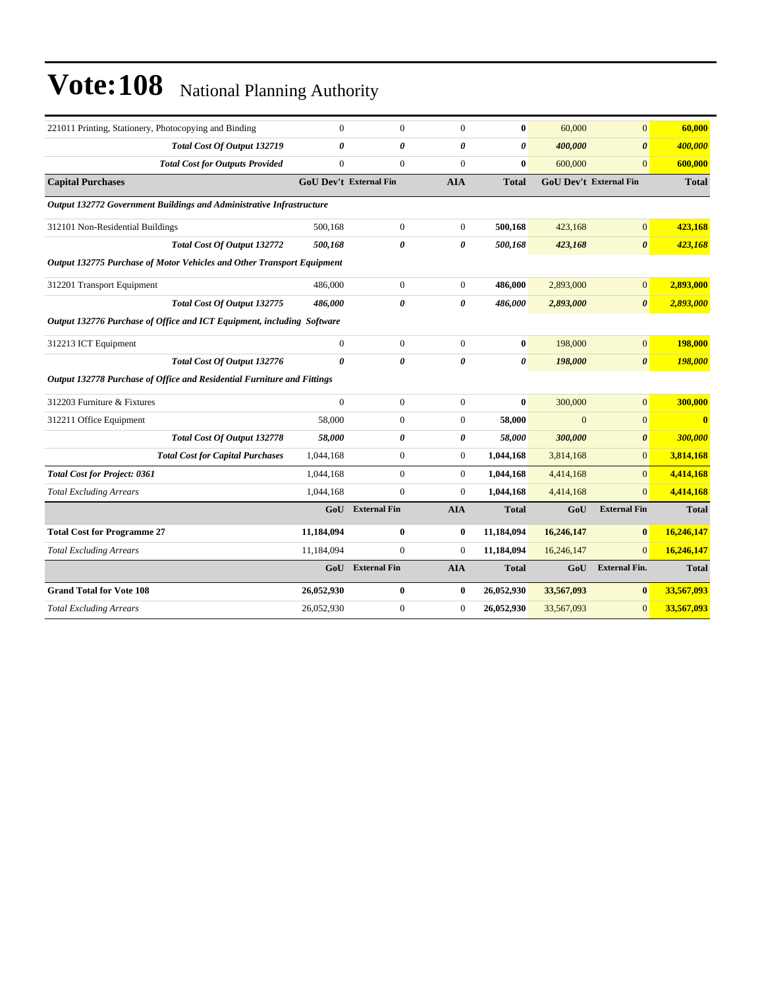| 221011 Printing, Stationery, Photocopying and Binding                   | $\overline{0}$                | $\overline{0}$      | $\mathbf{0}$          | $\bf{0}$              | 60,000     | $\overline{0}$                | 60,000                  |
|-------------------------------------------------------------------------|-------------------------------|---------------------|-----------------------|-----------------------|------------|-------------------------------|-------------------------|
| <b>Total Cost Of Output 132719</b>                                      | 0                             | 0                   | 0                     | $\boldsymbol{\theta}$ | 400,000    | $\boldsymbol{\theta}$         | 400,000                 |
| <b>Total Cost for Outputs Provided</b>                                  | $\overline{0}$                | $\mathbf{0}$        | $\mathbf{0}$          | $\mathbf{0}$          | 600,000    | $\Omega$                      | 600,000                 |
| <b>Capital Purchases</b>                                                | <b>GoU</b> Dev't External Fin |                     | <b>AIA</b>            | <b>Total</b>          |            | <b>GoU Dev't External Fin</b> | <b>Total</b>            |
| Output 132772 Government Buildings and Administrative Infrastructure    |                               |                     |                       |                       |            |                               |                         |
| 312101 Non-Residential Buildings                                        | 500,168                       | $\boldsymbol{0}$    | $\overline{0}$        | 500,168               | 423.168    | $\mathbf{0}$                  | 423,168                 |
| Total Cost Of Output 132772                                             | 500,168                       | 0                   | 0                     | 500,168               | 423,168    | 0                             | 423,168                 |
| Output 132775 Purchase of Motor Vehicles and Other Transport Equipment  |                               |                     |                       |                       |            |                               |                         |
| 312201 Transport Equipment                                              | 486,000                       | $\boldsymbol{0}$    | $\mathbf{0}$          | 486,000               | 2,893,000  | $\overline{0}$                | 2,893,000               |
| Total Cost Of Output 132775                                             | 486,000                       | 0                   | $\boldsymbol{\theta}$ | 486,000               | 2,893,000  | $\boldsymbol{\theta}$         | 2,893,000               |
| Output 132776 Purchase of Office and ICT Equipment, including Software  |                               |                     |                       |                       |            |                               |                         |
| 312213 ICT Equipment                                                    | $\overline{0}$                | $\boldsymbol{0}$    | $\mathbf{0}$          | $\bf{0}$              | 198,000    | $\boldsymbol{0}$              | 198,000                 |
| <b>Total Cost Of Output 132776</b>                                      | $\boldsymbol{\theta}$         | 0                   | $\boldsymbol{\theta}$ | $\boldsymbol{\theta}$ | 198,000    | $\boldsymbol{\theta}$         | 198,000                 |
| Output 132778 Purchase of Office and Residential Furniture and Fittings |                               |                     |                       |                       |            |                               |                         |
| 312203 Furniture & Fixtures                                             | $\overline{0}$                | $\boldsymbol{0}$    | $\overline{0}$        | $\bf{0}$              | 300,000    | $\overline{0}$                | 300,000                 |
| 312211 Office Equipment                                                 | 58,000                        | $\boldsymbol{0}$    | $\mathbf{0}$          | 58,000                | $\Omega$   | $\overline{0}$                | $\overline{\mathbf{0}}$ |
| Total Cost Of Output 132778                                             | 58,000                        | 0                   | 0                     | 58,000                | 300,000    | $\boldsymbol{\theta}$         | 300,000                 |
| <b>Total Cost for Capital Purchases</b>                                 | 1,044,168                     | $\overline{0}$      | $\overline{0}$        | 1,044,168             | 3,814,168  | $\overline{0}$                | 3,814,168               |
| <b>Total Cost for Project: 0361</b>                                     | 1,044,168                     | $\overline{0}$      | $\overline{0}$        | 1,044,168             | 4,414,168  | $\overline{0}$                | 4,414,168               |
| <b>Total Excluding Arrears</b>                                          | 1,044,168                     | $\boldsymbol{0}$    | $\mathbf{0}$          | 1,044,168             | 4,414,168  | $\Omega$                      | 4,414,168               |
|                                                                         | GoU                           | <b>External Fin</b> | <b>AIA</b>            | <b>Total</b>          | GoU        | <b>External Fin</b>           | <b>Total</b>            |
| <b>Total Cost for Programme 27</b>                                      | 11,184,094                    | 0                   | $\bf{0}$              | 11,184,094            | 16,246,147 | $\bf{0}$                      | 16,246,147              |
| <b>Total Excluding Arrears</b>                                          | 11,184,094                    | $\overline{0}$      | $\mathbf{0}$          | 11,184,094            | 16,246,147 | $\Omega$                      | 16,246,147              |
|                                                                         | GoU                           | <b>External Fin</b> | <b>AIA</b>            | <b>Total</b>          | GoU        | <b>External Fin.</b>          | <b>Total</b>            |
| <b>Grand Total for Vote 108</b>                                         | 26,052,930                    | 0                   | $\bf{0}$              | 26,052,930            | 33,567,093 | $\bf{0}$                      | 33,567,093              |
| <b>Total Excluding Arrears</b>                                          | 26,052,930                    | $\overline{0}$      | $\mathbf{0}$          | 26,052,930            | 33,567,093 | $\mathbf{0}$                  | 33,567,093              |